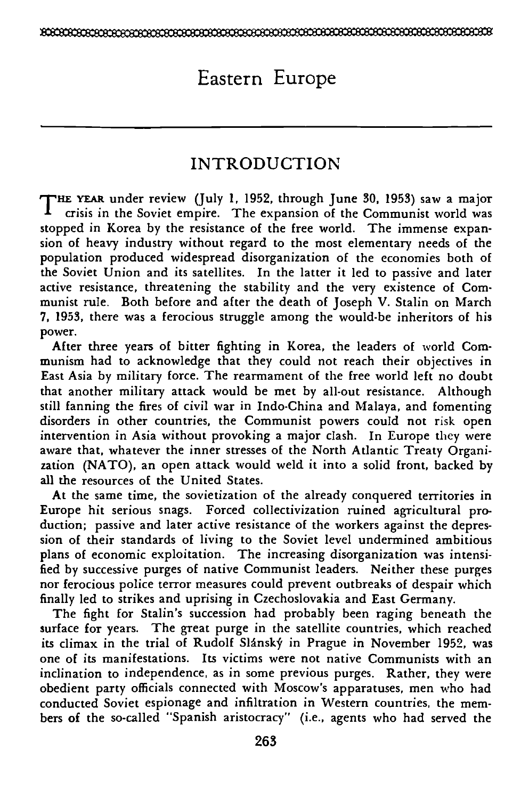# Eastern Europe

# INTRODUCTION

THE YEAR under review (July 1, 1952, through June 30, 1953) saw a major crisis in the Soviet empire. The expansion of the Communist world was stopped in Korea by the resistance of the free world. The immense expansion of heavy industry without regard to the most elementary needs of the population produced widespread disorganization of the economies both of the Soviet Union and its satellites. In the latter it led to passive and later active resistance, threatening the stability and the very existence of Communist rule. Both before and after the death of Joseph V. Stalin on March 7, 1953, there was a ferocious struggle among the would-be inheritors of his power.

After three years of bitter fighting in Korea, the leaders of world Communism had to acknowledge that they could not reach their objectives in East Asia by military force. The rearmament of the free world left no doubt that another military attack would be met by all-out resistance. Although still fanning the fires of civil war in Indo-China and Malaya, and fomenting disorders in other countries, the Communist powers could not risk open intervention in Asia without provoking a major clash. In Europe they were aware that, whatever the inner stresses of the North Atlantic Treaty Organization (NATO), an open attack would weld it into a solid front, backed by all the resources of the United States.

At the same time, the sovietization of the already conquered territories in Europe hit serious snags. Forced collectivization ruined agricultural production; passive and later active resistance of the workers against the depression of their standards of living to the Soviet level undermined ambitious plans of economic exploitation. The increasing disorganization was intensified by successive purges of native Communist leaders. Neither these purges nor ferocious police terror measures could prevent outbreaks of despair which finally led to strikes and uprising in Czechoslovakia and East Germany.

The fight for Stalin's succession had probably been raging beneath the surface for years. The great purge in the satellite countries, which reached its climax in the trial of Rudolf Slánský in Prague in November 1952, was one of its manifestations. Its victims were not native Communists with an inclination to independence, as in some previous purges. Rather, they were obedient party officials connected with Moscow's apparatuses, men who had conducted Soviet espionage and infiltration in Western countries, the members of the so-called "Spanish aristocracy" (i.e., agents who had served the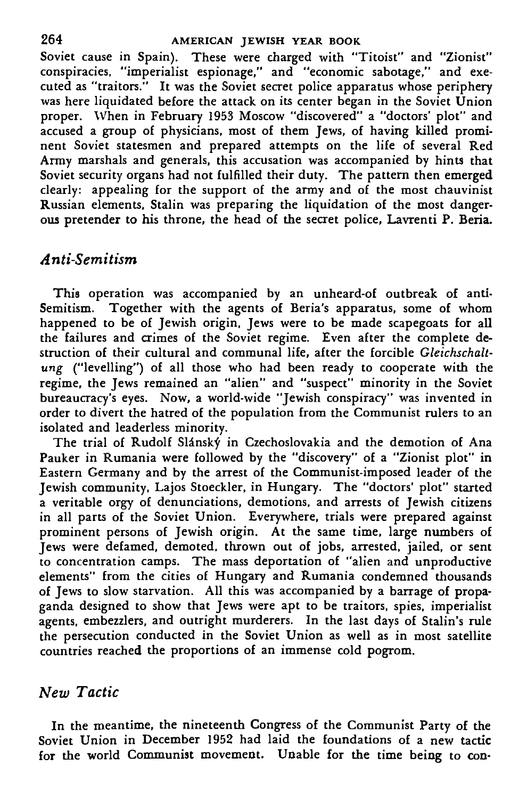Soviet cause in Spain). These were charged with "Titoist" and "Zionist" conspiracies, "imperialist espionage," and "economic sabotage," and executed as "traitors." It was the Soviet secret police apparatus whose periphery was here liquidated before the attack on its center began in the Soviet Union proper. When in February 1953 Moscow "discovered" a "doctors' plot" and accused a group of physicians, most of them Jews, of having killed prominent Soviet statesmen and prepared attempts on the life of several Red Army marshals and generals, this accusation was accompanied by hints that Soviet security organs had not fulfilled their duty. The pattern then emerged clearly: appealing for the support of the army and of the most chauvinist Russian elements, Stalin was preparing the liquidation of the most dangerous pretender to his throne, the head of the secret police, Lavrenti P. Beria.

# *Anti-Semitism*

This operation was accompanied by an unheard-of outbreak of anti-Semitism. Together with the agents of Beria's apparatus, some of whom happened to be of Jewish origin, Jews were to be made scapegoats for all the failures and crimes of the Soviet regime. Even after the complete destruction of their cultural and communal life, after the forcible *Gleickschaltung* ("levelling") of all those who had been ready to cooperate with the regime, the Jews remained an "alien" and "suspect" minority in the Soviet bureaucracy's eyes. Now, a world-wide "Jewish conspiracy" was invented in order to divert the hatred of the population from the Communist rulers to an isolated and leaderless minority.

The trial of Rudolf Slánský in Czechoslovakia and the demotion of Ana Pauker in Rumania were followed by the "discovery" of a "Zionist plot" in Eastern Germany and by the arrest of the Communist-imposed leader of the Jewish community, Lajos Stoeckler, in Hungary. The "doctors' plot" started a veritable orgy of denunciations, demotions, and arrests of Jewish citizens in all parts of the Soviet Union. Everywhere, trials were prepared against prominent persons of Jewish origin. At the same time, large numbers of Jews were defamed, demoted, thrown out of jobs, arrested, jailed, or sent to concentration camps. The mass deportation of "alien and unproductive elements" from the cities of Hungary and Rumania condemned thousands of Jews to slow starvation. All this was accompanied by a barrage of propaganda designed to show that Jews were apt to be traitors, spies, imperialist agents, embezzlers, and outright murderers. In the last days of Stalin's rule the persecution conducted in the Soviet Union as well as in most satellite countries reached the proportions of an immense cold pogrom.

### *New Tactic*

In the meantime, the nineteenth Congress of the Communist Party of the Soviet Union in December 1952 had laid the foundations of a new tactic for **the** world Communist movement. Unable for the time being to con-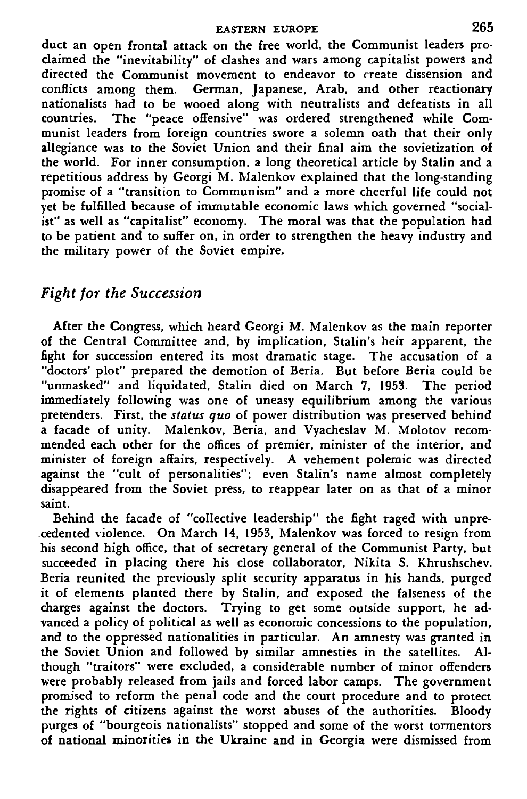#### **EASTERN EUROPE** 265

duct an open frontal attack on the free world, the Communist leaders proclaimed the "inevitability" of dashes and wars among capitalist powers and directed the Communist movement to endeavor to create dissension and conflicts among them. German, Japanese, Arab, and other reactionary nationalists had to be wooed along with neutralists and defeatists in all countries. The "peace offensive" was ordered strengthened while Communist leaders from foreign countries swore a solemn oath that their only allegiance was to the Soviet Union and their final aim the sovietization of the world. For inner consumption, a long theoretical article by Stalin and a repetitious address by Georgi M. Malenkov explained that the long-standing promise of a "transition to Communism" and a more cheerful life could not yet be fulfilled because of immutable economic laws which governed "socialist" as well as "capitalist" economy. The moral was that the population had to be patient and to suffer on, in order to strengthen the heavy industry and the military power of the Soviet empire.

# *Fight for the Succession*

After the Congress, which heard Georgi M. Malenkov as the main reporter of the Central Committee and, by implication, Stalin's heir apparent, the fight for succession entered its most dramatic stage. The accusation of a "doctors' plot" prepared the demotion of Beria. But before Beria could be "unmasked" and liquidated, Stalin died on March 7, 1953. The period immediately following was one of uneasy equilibrium among the various pretenders. First, the *status quo* of power distribution was preserved behind a facade of unity. Malenkov, Beria, and Vyacheslav M. Molotov recommended each other for the offices of premier, minister of the interior, and minister of foreign affairs, respectively. A vehement polemic was directed against the "cult of personalities"; even Stalin's name almost completely disappeared from the Soviet press, to reappear later on as that of a minor saint.

Behind the facade of "collective leadership" the fight raged with unprecedented violence. On March 14, 1953, Malenkov was forced to resign from his second high office, that of secretary general of the Communist Party, but succeeded in placing there his close collaborator, Nikita S. Khrushschev. Beria reunited the previously split security apparatus in his hands, purged it of elements planted there by Stalin, and exposed the falseness of the charges against the doctors. Trying to get some outside support, he advanced a policy of political as well as economic concessions to the population, and to the oppressed nationalities in particular. An amnesty was granted in the Soviet Union and followed by similar amnesties in the satellites. Although "traitors" were excluded, a considerable number of minor offenders were probably released from jails and forced labor camps. The government promised to reform the penal code and the court procedure and to protect the rights of citizens against the worst abuses of the authorities. Bloody purges of "bourgeois nationalists" stopped and some of the worst tormentors of national minorities in the Ukraine and in Georgia were dismissed from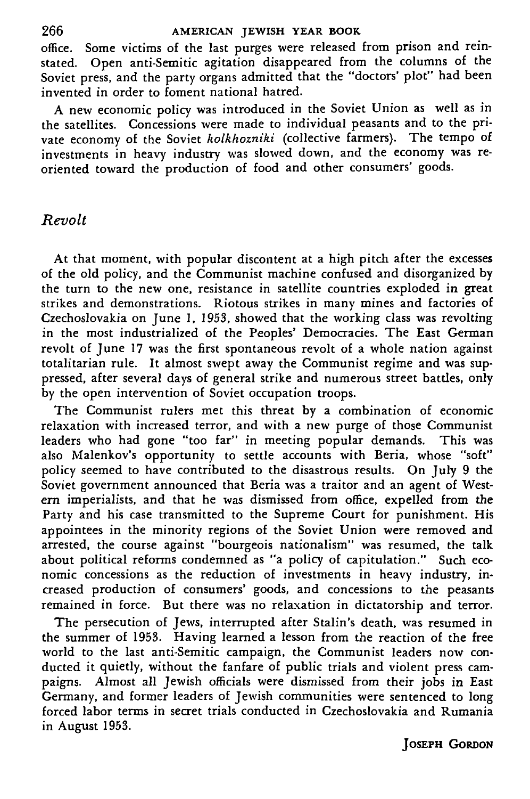office. Some victims of the last purges were released from prison and reinstated. Open anti-Semitic agitation disappeared from the columns of the Soviet press, and the party organs admitted that the "doctors' plot" had been invented in order to foment national hatred.

A new economic policy was introduced in the Soviet Union as well as in the satellites. Concessions were made to individual peasants and to the private economy of the Soviet *holkhozniki* (collective farmers). The tempo of investments in heavy industry was slowed down, and the economy was reoriented toward the production of food and other consumers' goods.

### *Revolt*

At that moment, with popular discontent at a high pitch after the excesses of the old policy, and the Communist machine confused and disorganized by the turn to the new one, resistance in satellite countries exploded in great strikes and demonstrations. Riotous strikes in many mines and factories of Czechoslovakia on June 1, 1953, showed that the working class was revolting in the most industrialized of the Peoples' Democracies. The East German revolt of June 17 was the first spontaneous revolt of a whole nation against totalitarian rule. It almost swept away the Communist regime and was suppressed, after several days of general strike and numerous street battles, only by the open intervention of Soviet occupation troops.

The Communist rulers met this threat by a combination of economic relaxation with increased terror, and with a new purge of those Communist leaders who had gone "too far" in meeting popular demands. This was also Malenkov's opportunity to settle accounts with Beria, whose "soft" policy seemed to have contributed to the disastrous results. On July 9 the Soviet government announced that Beria was a traitor and an agent of Western imperialists, and that he was dismissed from office, expelled from the Party and his case transmitted to the Supreme Court for punishment. His appointees in the minority regions of the Soviet Union were removed and arrested, the course against "bourgeois nationalism" was resumed, the talk about political reforms condemned as "a policy of capitulation." Such economic concessions as the reduction of investments in heavy industry, increased production of consumers' goods, and concessions to the peasants remained in force. But there was no relaxation in dictatorship and terror.

The persecution of Jews, interrupted after Stalin's death, was resumed in the summer of 1953. Having learned a lesson from the reaction of the free world to the last anti-Semitic campaign, the Communist leaders now conducted it quietly, without the fanfare of public trials and violent press campaigns. Almost all Jewish officials were dismissed from their jobs in East Germany, and former leaders of Jewish communities were sentenced to long forced labor terms in secret trials conducted in Czechoslovakia and Rumania in August 1953.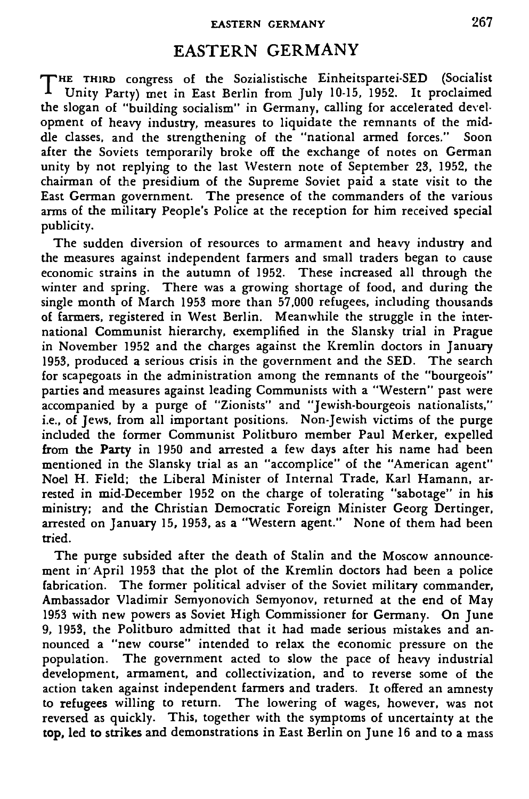## EASTERN GERMANY

T HE THIRD congress of the Sozialistische Einheitspartei-SED (Socialist Unity Party) met in East Berlin from July 10-15, 1952. It proclaimed the slogan of "building socialism" in Germany, calling for accelerated development of heavy industry, measures to liquidate the remnants of the middle classes, and the strengthening of the "national armed forces." Soon after the Soviets temporarily broke off the exchange of notes on German unity by not replying to the last Western note of September 23, 1952, the chairman of the presidium of the Supreme Soviet paid a state visit to the East German government. The presence of the commanders of the various arms of the military People's Police at the reception for him received special publicity.

The sudden diversion of resources to armament and heavy industry and the measures against independent farmers and small traders began to cause economic strains in the autumn of 1952. These increased all through the winter and spring. There was a growing shortage of food, and during the single month of March 1953 more than 57,000 refugees, including thousands of farmers, registered in West Berlin. Meanwhile the struggle in the international Communist hierarchy, exemplified in the Slansky trial in Prague in November 1952 and the charges against the Kremlin doctors in January 1953, produced a serious crisis in the government and the SED. The search for scapegoats in the administration among the remnants of the "bourgeois" parties and measures against leading Communists with a "Western" past were accompanied by a purge of "Zionists" and "Jewish-bourgeois nationalists," i.e., of Jews, from all important positions. Non-Jewish victims of the purge included the former Communist Politburo member Paul Merker, expelled from the Party in 1950 and arrested a few days after his name had been mentioned in the Slansky trial as an "accomplice" of the "American agent" Noel H. Field; the Liberal Minister of Internal Trade, Karl Hamann, arrested in mid-December 1952 on the charge of tolerating "sabotage" in his ministry; and the Christian Democratic Foreign Minister Georg Dertinger, arrested on January 15, 1953, as a "Western agent." None of them had been tried.

The purge subsided after the death of Stalin and the Moscow announcement in'April 1953 that the plot of the Kremlin doctors had been a police fabrication. The former political adviser of the Soviet military commander, Ambassador Vladimir Semyonovich Semyonov, returned at the end of May 1953 with new powers as Soviet High Commissioner for Germany. On June 9, 1953, the Politburo admitted that it had made serious mistakes and announced a "new course" intended to relax the economic pressure on the population. The government acted to slow the pace of heavy industrial development, armament, and collectivization, and to reverse some of the action taken against independent farmers and traders. It offered an amnesty to refugees willing to return. The lowering of wages, however, was not reversed as quickly. This, together with the symptoms of uncertainty at the top, led to strikes and demonstrations in East Berlin on June 16 and to a mass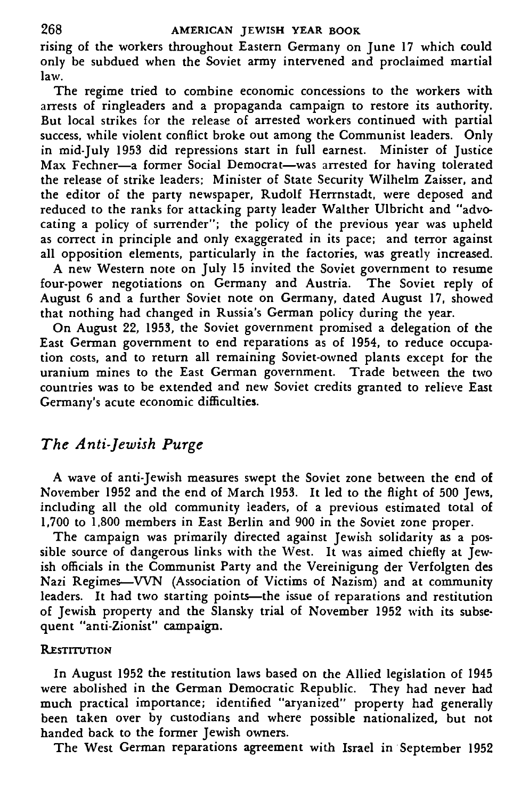#### **268 AMERICAN JEWISH YEAR BOOK**

rising of the workers throughout Eastern Germany on June 17 which could only be subdued when the Soviet army intervened and proclaimed martial law.

The regime tried to combine economic concessions to the workers with arrests of ringleaders and a propaganda campaign to restore its authority. But local strikes for the release of arrested workers continued with partial success, while violent conflict broke out among the Communist leaders. Only in mid-July 1953 did repressions start in full earnest. Minister of Justice Max Fechner—a former Social Democrat—was arrested for having tolerated the release of strike leaders; Minister of State Security Wilhelm Zaisser, and the editor of the party newspaper, Rudolf Herrnstadt, were deposed and reduced to the ranks for attacking party leader Walther Ulbricht and "advocating a policy of surrender"; the policy of the previous year was upheld as correct in principle and only exaggerated in its pace; and terror against all opposition elements, particularly in the factories, was greatly increased.

A new Western note on July 15 invited the Soviet government to resume four-power negotiations on Germany and Austria. The Soviet reply of August 6 and a further Soviet note on Germany, dated August 17, showed that nothing had changed in Russia's German policy during the year.

On August 22, 1953, the Soviet government promised a delegation of the East German government to end reparations as of 1954, to reduce occupation costs, and to return all remaining Soviet-owned plants except for the uranium mines to the East German government. Trade between the two countries was to be extended and new Soviet credits granted to relieve East Germany's acute economic difficulties.

# *The Anti-Jewish Purge*

A wave of anti-Jewish measures swept the Soviet zone between the end of November 1952 and the end of March 1953. It led to the flight of 500 Jews, including all the old community leaders, of a previous estimated total of 1,700 to 1,800 members in East Berlin and 900 in the Soviet zone proper.

The campaign was primarily directed against Jewish solidarity as a possible source of dangerous links with the West. It was aimed chiefly at Jewish officials in the Communist Party and the Vereinigung der Verfolgten des Nazi Regimes—WN (Association of Victims of Nazism) and at community leaders. It had two starting points—the issue of reparations and restitution of Jewish property and the Slansky trial of November 1952 with its subsequent "anti-Zionist" campaign.

### **RESTITUTION**

In August 1952 the restitution laws based on the Allied legislation of 1945 were abolished in the German Democratic Republic. They had never had much practical importance; identified "aryanized" property had generally been taken over by custodians and where possible nationalized, but not handed back to the former Jewish owners.

The West German reparations agreement with Israel in September 1952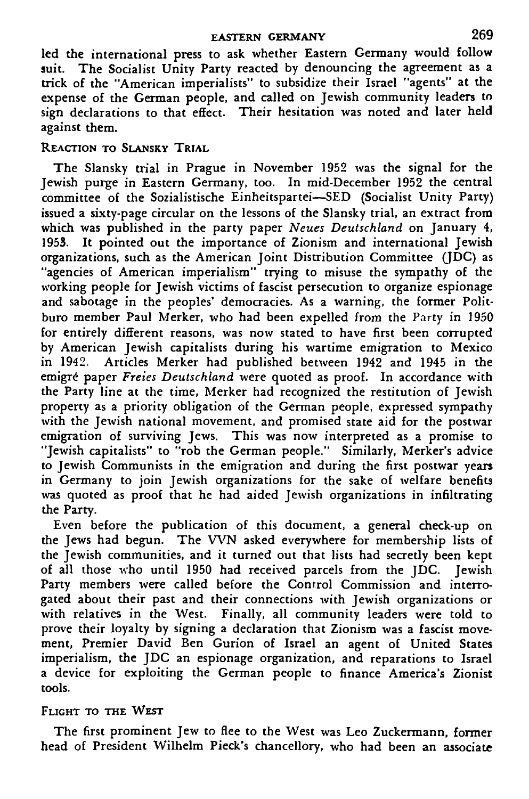#### **EASTERN GERMANY 269**

led the international press to ask whether Eastern Germany would follow suit. The Socialist Unity Party reacted by denouncing the agreement as a trick of the "American imperialists" to subsidize their Israel "agents" at the expense of the German people, and called on Jewish community leaders to sign declarations to that effect. Their hesitation was noted and later held against them.

#### REACTION TO SLANSKY TRIAL

The Slansky trial in Prague in November 1952 was the signal for the Jewish purge in Eastern Germany, too. In mid-December 1952 the central committee of the Sozialistische Einheitspartei—SED (Socialist Unity Party) issued a sixty-page circular on the lessons of the Slansky trial, an extract from which was published in the party paper *Neues Deutschland* on January 4, 1953. It pointed out the importance of Zionism and international Jewish organizations, such as the American Joint Distribution Committee (JDC) as "agencies of American imperialism" trying to misuse the sympathy of the working people for Jewish victims of fascist persecution to organize espionage and sabotage in the peoples' democracies. As a warning, the former Politburo member Paul Merker, who had been expelled from the Party in 1950 for entirely different reasons, was now stated to have first been corrupted by American Jewish capitalists during his wartime emigration to Mexico in 1942. Articles Merker had published between 1942 and 1945 in the m 1912. Thilches Merker had published between 1942 and 1949 in the<br>emigré paper *Freies Deutschland* were quoted as proof. In accordance with the Party line at the time, Merker had recognized the restitution of Jewish property as a priority obligation of the German people, expressed sympathy with the Jewish national movement, and promised state aid for the postwar emigration of surviving Jews. This was now interpreted as a promise to "Jewish capitalists" to "rob the German people." Similarly, Merker's advice to Jewish Communists in the emigration and during the first postwar years in Germany to join Jewish organizations for the sake of welfare benefits was quoted as proof that he had aided Jewish organizations in infiltrating the Party.

Even before the publication of this document, a general check-up on the Jews had begun. The WN asked everywhere for membership lists of the Jewish communities, and it turned out that lists had secretly been kept of all those who until 1950 had received parcels from the JDC. Jewish Party members were called before the Control Commission and interrogated about their past and their connections with Jewish organizations or with relatives in the West. Finally, all community leaders were told to prove their loyalty by signing a declaration that Zionism was a fascist movement, Premier David Ben Gurion of Israel an agent of United States imperialism, the JDC an espionage organization, and reparations to Israel a device for exploiting the German people to finance America's Zionist tools.

#### FLIGHT TO THE WEST

The first prominent Jew to flee to the West was Leo Zuckermann, former head of President Wilhelm Pieck's chancellory, who had been an associate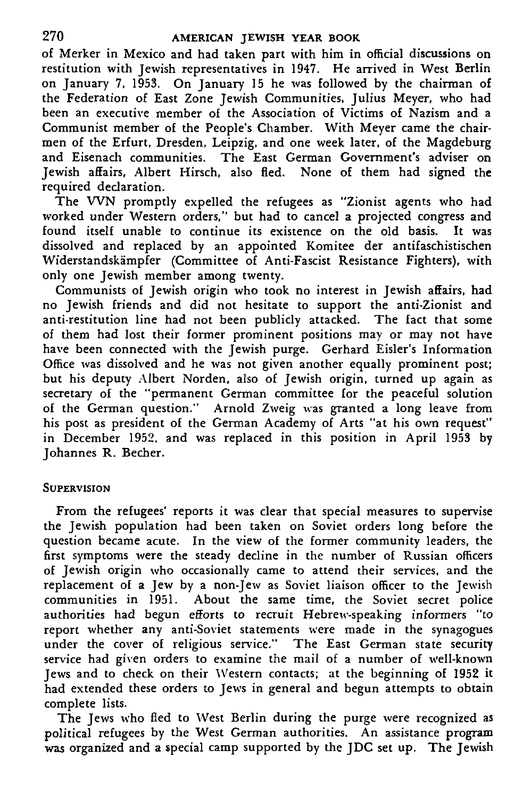of Merker in Mexico and had taken part with him in official discussions on restitution with Jewish representatives in 1947. He arrived in West Berlin on January 7, 1953. On January 15 he was followed by the chairman of the Federation of East Zone Jewish Communities, Julius Meyer, who had been an executive member of the Association of Victims of Nazism and a Communist member of the People's Chamber. With Meyer came the chairmen of the Erfurt, Dresden, Leipzig, and one week later, of the Magdeburg and Eisenach communities. The East German Government's adviser on Jewish affairs, Albert Hirsch, also fled. None of them had signed the required declaration.

The WN promptly expelled the refugees as "Zionist agents who had worked under Western orders," but had to cancel a projected congress and found itself unable to continue its existence on the old basis. It was dissolved and replaced by an appointed Komitee der antifaschistischen Widerstandskampfer (Committee of Anti-Fascist Resistance Fighters), with only one Jewish member among twenty.

Communists of Jewish origin who took no interest in Jewish affairs, had no Jewish friends and did not hesitate to support the anti-Zionist and anti-restitution line had not been publicly attacked. The fact that some of them had lost their former prominent positions may or may not have have been connected with the Jewish purge. Gerhard Eisler's Information Office was dissolved and he was not given another equally prominent post; but his deputy Albert Norden, also of Jewish origin, turned up again as secretary of the "permanent German committee for the peaceful solution of the German question." Arnold Zweig was granted a long leave from his post as president of the German Academy of Arts "at his own request" in December 1952, and was replaced in this position in April 1953 by Johannes R. Becher.

#### **SUPERVISION**

From the refugees' reports it was clear that special measures to supervise the Jewish population had been taken on Soviet orders long before the question became acute. In the view of the former community leaders, the first symptoms were the steady decline in the number of Russian officers of Jewish origin who occasionally came to attend their services, and the replacement of a Jew by a non-Jew as Soviet liaison officer to the Jewish communities in 1951. About the same time, the Soviet secret police authorities had begun efforts to recruit Hebrew-speaking informers "to report whether any anti-Soviet statements were made in the synagogues under the cover of religious service." The East German state security service had given orders to examine the mail of a number of well-known Jews and to check on their Western contacts; at the beginning of 1952 it had extended these orders to Jews in general and begun attempts to obtain complete lists.

The Jews who fled to West Berlin during the purge were recognized as political refugees by the West German authorities. An assistance program was organized and a special camp supported by the JDC set up. The Jewish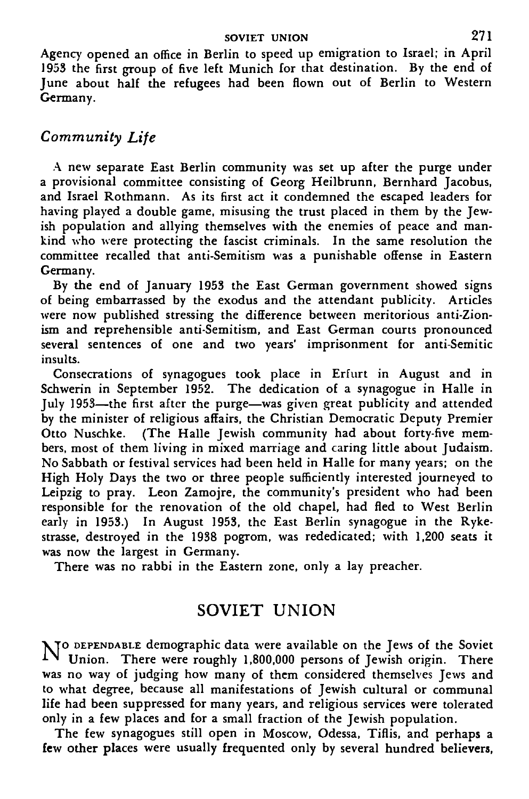Agency opened an office in Berlin to speed up emigration to Israel; in April 1953 the first group of five left Munich for that destination. By the end of June about half the refugees had been flown out of Berlin to Western Germany.

# *Community Life*

A new separate East Berlin community was set up after the purge under a provisional committee consisting of Georg Heilbrunn, Bernhard Jacobus, and Israel Rothmann. As its first act it condemned the escaped leaders for having played a double game, misusing the trust placed in them by the Jewish population and allying themselves with the enemies of peace and mankind who were protecting the fascist criminals. In the same resolution the committee recalled that anti-Semitism was a punishable offense in Eastern Germany.

By the end of January 1953 the East German government showed signs of being embarrassed by the exodus and the attendant publicity. Articles were now published stressing the difference between meritorious anti-Zionism and reprehensible anti-Semitism, and East German courts pronounced several sentences of one and two years' imprisonment for anti-Semitic insults.

Consecrations of synagogues took place in Erfurt in August and in Schwerin in September 1952. The dedication of a synagogue in Halle in July 1953—the first after the purge—was given great publicity and attended by the minister of religious affairs, the Christian Democratic Deputy Premier Otto Nuschke. (The Halle Jewish community had about forty-five members, most of them living in mixed marriage and caring little about Judaism. No Sabbath or festival services had been held in Halle for many years; on the High Holy Days the two or three people sufficiently interested journeyed to Leipzig to pray. Leon Zamojre, the community's president who had been responsible for the renovation of the old chapel, had fled to West Berlin early in 1953.) In August 1953, the East Berlin synagogue in the Rykestrasse, destroyed in the 1938 pogrom, was rededicated; with 1,200 seats it was now the largest in Germany.

There was no rabbi in the Eastern zone, only a lay preacher.

# SOVIET UNION

N TO DEPENDABLE demographic data were available on the Jews of the Soviet  $1$   $\vee$  Union. There were roughly 1,800,000 persons of Jewish origin. There was no way of judging how many of them considered themselves Jews and to what degree, because all manifestations of Jewish cultural or communal life had been suppressed for many years, and religious services were tolerated only in a few places and for a small fraction of the Jewish population.

The few synagogues still open in Moscow, Odessa, Tiflis, and **perhaps** a **few other places** were usually **frequented** only by several **hundred believers,**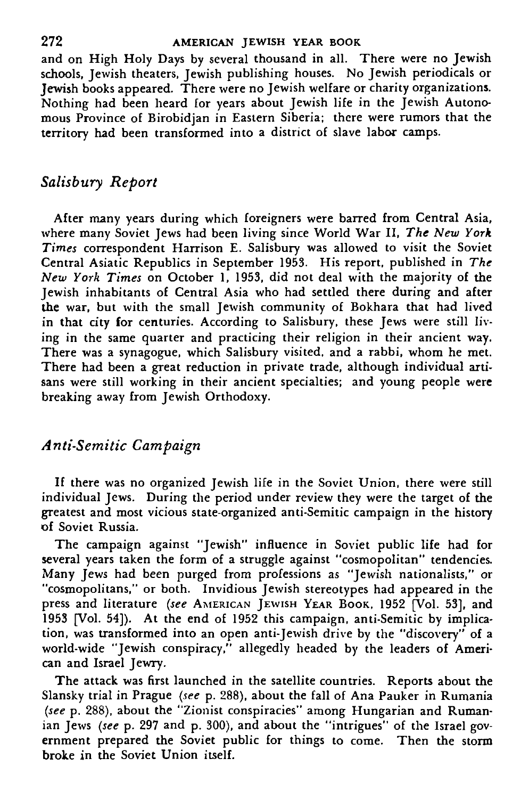#### **2 72 AMERICAN JEWISH YEAR BOOK**

and on High Holy Days by several thousand in all. There were no Jewish schools, Jewish theaters, Jewish publishing houses. No Jewish periodicals or Jewish books appeared. There were no Jewish welfare or charity organizations. Nothing had been heard for years about Jewish life in the Jewish Autonomous Province of Birobidjan in Eastern Siberia; there were rumors that the territory had been transformed into a district of slave labor camps.

### *Salisbury Report*

After many years during which foreigners were barred from Central Asia, where many Soviet Jews had been living since World War II, *The New York Times* correspondent Harrison E. Salisbury was allowed to visit the Soviet Central Asiatic Republics in September 1953. His report, published in *The New York Times* on October 1, 1953, did not deal with the majority of the Jewish inhabitants of Central Asia who had settled there during and after the war, but with the small Jewish community of Bokhara that had lived in that city for centuries. According to Salisbury, these Jews were still living in the same quarter and practicing their religion in their ancient way. There was a synagogue, which Salisbury visited, and a rabbi, whom he met. There had been a great reduction in private trade, although individual artisans were still working in their ancient specialties; and young people were breaking away from Jewish Orthodoxy.

# *Anti-Semitic Campaign*

If there was no organized Jewish life in the Soviet Union, there were still individual Jews. During the period under review they were the target of the greatest and most vicious state-organized anti-Semitic campaign in the history of Soviet Russia.

The campaign against "Jewish" influence in Soviet public life had for several years taken the form of a struggle against "cosmopolitan" tendencies. Many Jews had been purged from professions as "Jewish nationalists," or "cosmopolitans," or both. Invidious Jewish stereotypes had appeared in the press and literature *(see* AMERICAN JEWISH YEAR BOOK, 1952 [Vol. 53], and 1953 [Vol. 54]). At the end of 1952 this campaign, anti-Semitic by implication, was transformed into an open anti-Jewish drive by the "discovery" of a world-wide "Jewish conspiracy," allegedly headed by the leaders of American and Israel Jewry.

The attack was first launched in the satellite countries. Reports about the Slansky trial in Prague *(see* p. 288), about the fall of Ana Pauker in Rumania *(see* p. 288), about the "Zionist conspiracies" among Hungarian and Rumanian Jews *(see* p. 297 and p. 300), and about the "intrigues" of the Israel government prepared the Soviet public for things to come. Then the storm broke in the Soviet Union itself.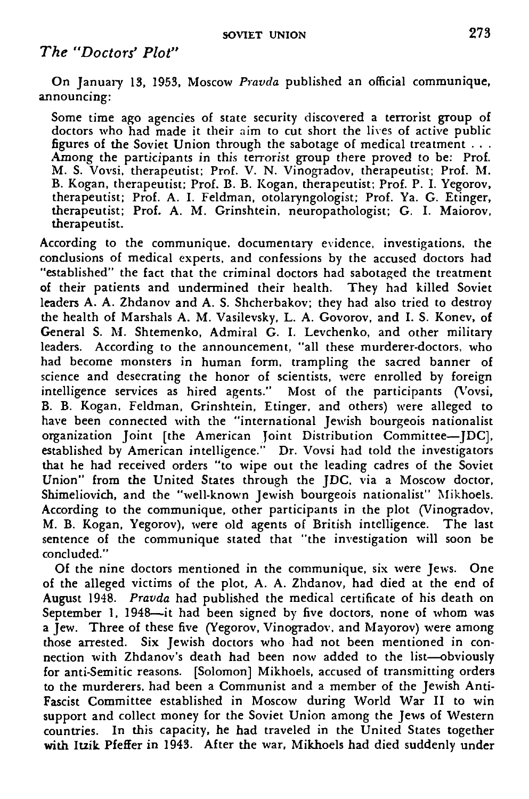### *The "Doctors' Plot"*

On January 13, 1953, Moscow *Pravda* published an official communique, announcing:

Some time ago agencies of state security discovered a terrorist group of doctors who had made it their aim to cut short the lives of active public figures of the Soviet Union through the sabotage of medical treatment . . . Among the participants in this terrorist group there proved to be: Prof. M. S. Vovsi, therapeutist: Prof. V. N. Vinogradov, therapeutist; Prof. M. B. Kogan, therapeutist; Prof. B. B. Kogan, therapeutist; Prof. P. I. Yegorov, therapeutist; Prof. A. I. Feldman, otolaryngologist; Prof. Ya. G. Etinger, therapeutist; Prof. A. M. Grinshtein, neuropathologist; G. I. Maiorov, therapeutist.

According to the communique, documentary evidence, investigations, the conclusions of medical experts, and confessions by the accused doctors had "established" the fact that the criminal doctors had sabotaged the treatment of their patients and undermined their health. They had killed Soviet leaders A. A. Zhdanov and A. S. Shcherbakov; they had also tried to destroy the health of Marshals A. M. Vasilevsky, L. A. Govorov, and I. S. Konev, of General S. M. Shtemenko, Admiral G. I. Levchenko, and other military leaders. According to the announcement, "all these murderer-doctors, who had become monsters in human form, trampling the sacred banner of science and desecrating the honor of scientists, were enrolled by foreign intelligence services as hired agents." Most of the participants (Vovsi, B. B. Kogan, Feldman, Grinshtein, Etinger, and others) were alleged to have been connected with the "international Jewish bourgeois nationalist organization Joint [the American Joint Distribution Committee—JDC], established by American intelligence." Dr. Vovsi had told the investigators that he had received orders "to wipe out the leading cadres of the Soviet Union" from the United States through the JDC, via a Moscow doctor, Shimeliovich, and the "well-known Jewish bourgeois nationalist" Mikhoels. According to the communique, other participants in the plot (Vinogradov, M. B. Kogan, Yegorov), ivere old agents of British intelligence. The last sentence of the communique stated that "the investigation will soon be concluded."

Of the nine doctors mentioned in the communique, six were Jews. One of the alleged victims of the plot, A. A. Zhdanov, had died at the end of August 1948. *Pravda* had published the medical certificate of his death on September 1, 1948—it had been signed by five doctors, none of whom was a Jew. Three of these five (Yegorov, Vinogradov, and Mayorov) were among those arrested. Six Jewish doctors who had not been mentioned in connection with Zhdanov's death had been now added to the list—obviously for anti-Semitic reasons. [Solomon] Mikhoels, accused of transmitting orders to the murderers, had been a Communist and a member of the Jewish Anti-Fascist Committee established in Moscow during World War II to win support and collect money for the Soviet Union among the Jews of Western countries. In this capacity, he had traveled in the United States together with Itzik Pfeffer in 1943. After the war, Mikhoels had died suddenly under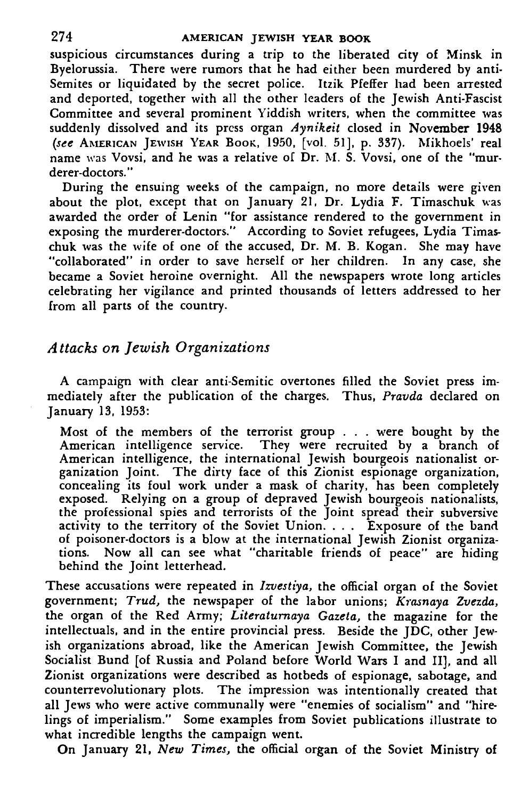suspicious circumstances during a trip to the liberated city of Minsk in Byelorussia. There were rumors that he had either been murdered by anti-Semites or liquidated by the secret police. Itzik Pfeffer had been arrested and deported, together with all the other leaders of the Jewish Anti-Fascist Committee and several prominent Yiddish writers, when the committee was suddenly dissolved and its press organ *Aynikeit* closed in November 1948 *(see* AMERICAN JEWISH YEAR BOOK, 1950, [vol. 51], p. 337). Mikhoels' real name was Vovsi, and he was a relative of Dr. M. S. Vovsi, one of the "murderer-doctors."

During the ensuing weeks of the campaign, no more details were given about the plot, except that on January 21, Dr. Lydia F. Timaschuk was awarded the order of Lenin "for assistance rendered to the government in exposing the murderer-doctors." According to Soviet refugees, Lydia Timaschuk was the wife of one of the accused, Dr. M. B. Kogan. She may have "collaborated" in order to save herself or her children. In any case, she became a Soviet heroine overnight. All the newspapers wrote long articles celebrating her vigilance and printed thousands of letters addressed to her from all parts of the country.

### *Attacks on Jewish Organizations*

A campaign with clear anti-Semitic overtones filled the Soviet press immediately after the publication of the charges. Thus, *Pravda* declared on January 13, 1953:

Most of the members of the terrorist group . . . were bought by the American intelligence service. They were recruited by a branch of American intelligence, the international Jewish bourgeois nationalist organization Joint. The dirty face of this Zionist espionage organization, concealing its foul work under a mask of charity, has been completely exposed. Relying on a group of depraved Jewish bourgeois nationalists, the professional spies and terrorists of the Joint spread their subversive activity to the territory of the Soviet Union. . . . Exposure of the band of poisoner-doctors is a blow at the international Jewish Zionist organizations. Now all can see what "charitable friends of peace" are hiding behind the Joint letterhead.

These accusations were repeated in *Izuestiya,* the official organ of the Soviet government; *Trud,* the newspaper of the labor unions; *Krasnaya Zvezda,* the organ of the Red Army; *Literaturnaya Gazeta,* the magazine for the intellectuals, and in the entire provincial press. Beside the JDC, other Jewish organizations abroad, like the American Jewish Committee, the Jewish Socialist Bund [of Russia and Poland before World Wars I and II], and all Zionist organizations were described as hotbeds of espionage, sabotage, and counterrevolutionary plots. The impression was intentionally created that all Jews who were active communally were "enemies of socialism" and "hirelings of imperialism." Some examples from Soviet publications illustrate to what incredible lengths the campaign went.

On January 21, *New Times,* the official organ of the Soviet Ministry of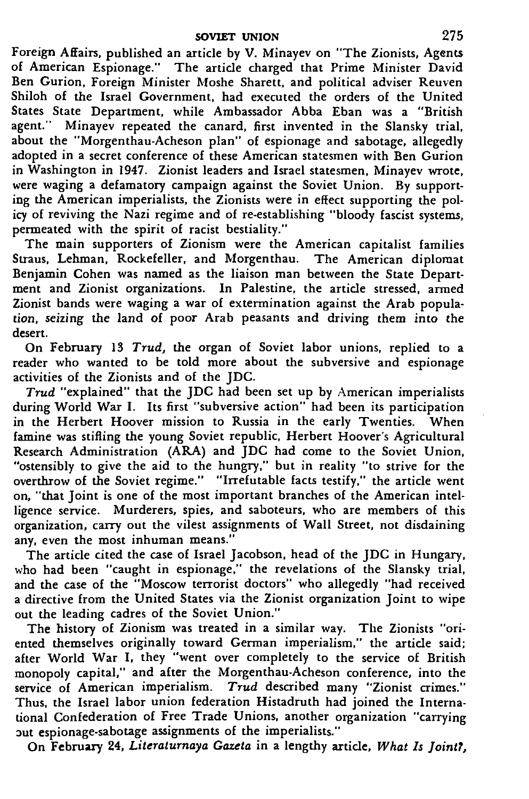Foreign Affairs, published an article by V. Minayev on "The Zionists, Agents of American Espionage." The article charged that Prime Minister David Ben Gurion, Foreign Minister Moshe Sharett, and political adviser Reuven Shiloh of the Israel Government, had executed the orders of the United States State Department, while Ambassador Abba Eban was a "British agent." Minayev repeated the canard, first invented in the Slansky trial, about the "Morgenthau-Acheson plan" of espionage and sabotage, allegedly adopted in a secret conference of these American statesmen with Ben Gurion in Washington in 1947. Zionist leaders and Israel statesmen, Minayev wrote, were waging a defamatory campaign against the Soviet Union. By supporting the American imperialists, the Zionists were in effect supporting the policy of reviving the Nazi regime and of re-establishing "bloody fascist systems, permeated with the spirit of racist bestiality."

The main supporters of Zionism were the American capitalist families Straus, Lehman, Rockefeller, and Morgenthau. The American diplomat Benjamin Cohen was named as the liaison man between the State Department and Zionist organizations. In Palestine, the article stressed, armed Zionist bands were waging a war of extermination against the Arab population, seizing the land of poor Arab peasants and driving them into the desert.

On February 13 *Trud,* the organ of Soviet labor unions, replied to a reader who wanted to be told more about the subversive and espionage activities of the Zionists and of the JDC.

*Trud* "explained" that the JDC had been set up by American imperialists during World War I. Its first "subversive action" had been its participation in the Herbert Hoover mission to Russia in the early Twenties. When famine was stifling the young Soviet republic, Herbert Hoover's Agricultural Research Administration (ARA) and JDC had come to the Soviet Union, "ostensibly to give the aid to the hungry," but in reality "to strive for the overthrow of the Soviet regime." "Irrefutable facts testify," the article went on, "that Joint is one of the most important branches of the American intelligence service. Murderers, spies, and saboteurs, who are members of this organization, carry out the vilest assignments of Wall Street, not disdaining any, even the most inhuman means."

The article cited the case of Israel Jacobson, head of the JDC in Hungary, who had been "caught in espionage," the revelations of the Slansky trial, and the case of the "Moscow terrorist doctors" who allegedly "had received a directive from the United States via the Zionist organization Joint to wipe out the leading cadres of the Soviet Union."

The history of Zionism was treated in a similar way. The Zionists "oriented themselves originally toward German imperialism," the article said; after World War I, they "went over completely to the service of British monopoly capital," and after the Morgenthau-Acheson conference, into the service of American imperialism. *Trud* described many "Zionist crimes." Thus, the Israel labor union federation Histadruth had joined the International Confederation of Free Trade Unions, another organization "carrying out espionage-sabotage assignments of the imperialists."

On February 24, *Literaturnaya Gazeta* in a lengthy article. *What Is Joint?,*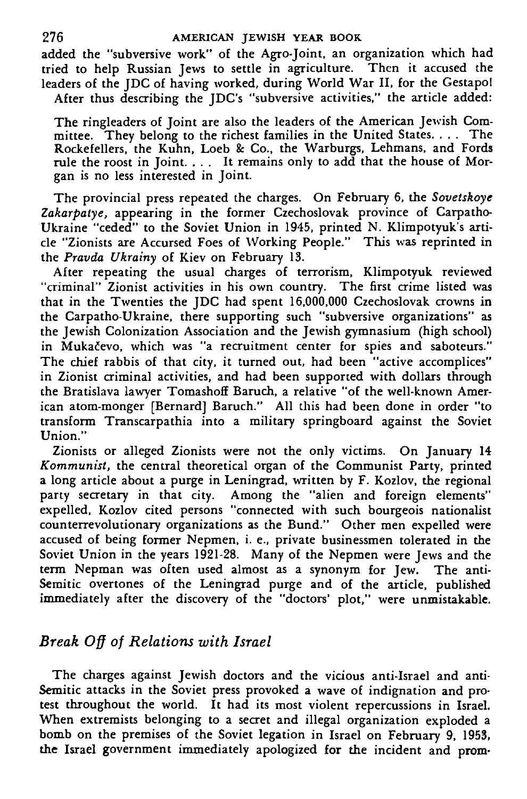added the "subversive work" of the Agro-Joint, an organization which had tried to help Russian Jews to settle in agriculture. Then it accused the leaders of the JDC of having worked, during World War II, for the Gestapol After thus describing the JDC's "subversive activities," the article added:

The ringleaders of Joint are also the leaders of the American Jewish Committee. They belong to the richest families in the United States. . . . The Rockefellers, the Kuhn, Loeb & Co., the Warburgs, Lehmans, and Fords rule the roost in Joint. .. . It remains only to add that the house of Morgan is no less interested in Joint.

The provincial press repeated the charges. On February 6, the *Sovetskoye Zakarpatye,* appearing in the former Czechoslovak province of Carpatho-Ukraine "ceded" to the Soviet Union in 1945, printed N. Klimpotyuk's article "Zionists are Accursed Foes of Working People." This was reprinted in the *Pravda Ukrainy* of Kiev on February 13.

After repeating the usual charges of terrorism, Klimpotyuk reviewed "criminal" Zionist activities in his own country. The first crime listed was that in the Twenties the JDC had spent 16,000,000 Czechoslovak crowns in the Carpatho-Ukraine, there supporting such "subversive organizations" as the Jewish Colonization Association and the Jewish gymnasium (high school) in Mukačevo, which was "a recruitment center for spies and saboteurs." The chief rabbis of that city, it turned out, had been "active accomplices" in Zionist criminal activities, and had been supported with dollars through the Bratislava lawyer Tomashoff Baruch, a relative "of the well-known American atom-monger [Bernard] Baruch." All this had been done in order "to transform Transcarpathia into a military springboard against the Soviet Union."

Zionists or alleged Zionists were not the only victims. On January 14 *Kommunist,* the central theoretical organ of the Communist Party, printed a long article about a purge in Leningrad, written by F. Kozlov, the regional party secretary in that city. Among the "alien and foreign elements" expelled, Kozlov cited persons "connected with such bourgeois nationalist counterrevolutionary organizations as the Bund." Other men expelled were accused of being former Nepmen, i. e., private businessmen tolerated in the Soviet Union in the years 1921-28. Many of the Nepmen were Jews and the term Nepman was often used almost as a synonym for Jew. The anti-Semitic overtones of the Leningrad purge and of the article, published immediately after the discovery of the "doctors' plot," were unmistakable.

# *Break Off of Relations with Israel*

The charges against Jewish doctors and the vicious anti-Israel and anti-Semitic attacks in the Soviet press provoked a wave of indignation and protest throughout the world. It had its most violent repercussions in Israel. When extremists belonging to a secret and illegal organization exploded a bomb on the premises of the Soviet legation in Israel on February 9, 1953, the Israel government immediately apologized for the incident and prom-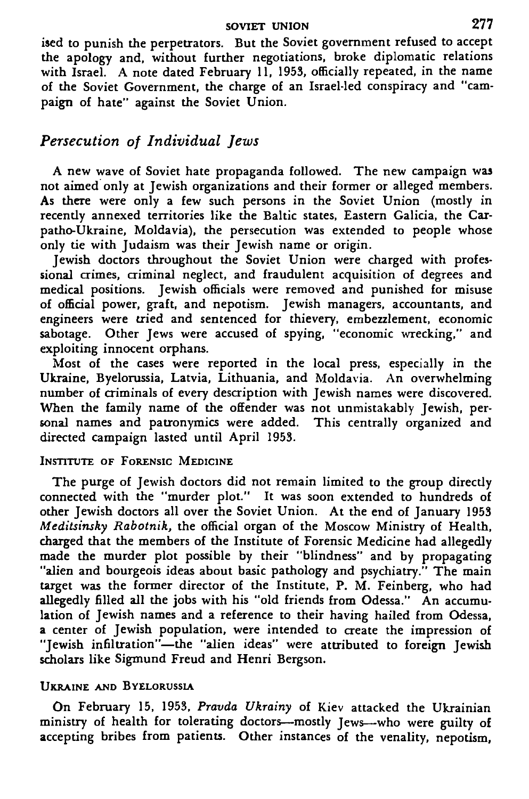#### SOVIET UNION 277

ised to punish the perpetrators. But the Soviet government refused to accept the apology and, without further negotiations, broke diplomatic relations with Israel. A note dated February 11, 1953, officially repeated, in the name of the Soviet Government, the charge of an Israel-led conspiracy and "campaign of hate" against the Soviet Union.

# *Persecution of Individual Jews*

A new wave of Soviet hate propaganda followed. The new campaign was not aimed only at Jewish organizations and their former or alleged members. As there were only a few such persons in the Soviet Union (mostly in recently annexed territories like the Baltic states, Eastern Galicia, the Carpatho-Ukraine, Moldavia), the persecution was extended to people whose only tie with Judaism was their Jewish name or origin.

Jewish doctors throughout the Soviet Union were charged with professional crimes, criminal neglect, and fraudulent acquisition of degrees and medical positions. Jewish officials were removed and punished for misuse of official power, graft, and nepotism. Jewish managers, accountants, and engineers were tried and sentenced for thievery, embezzlement, economic sabotage. Other Jews were accused of spying, "economic wrecking," and exploiting innocent orphans.

Most of the cases were reported in the local press, especially in the Ukraine, Byelorussia, Latvia, Lithuania, and Moldavia. An overwhelming number of criminals of every description with Jewish names were discovered. When the family name of the offender was not unmistakably Jewish, personal names and patronymics were added. This centrally organized and directed campaign lasted until April 1953.

#### INSTITUTE OF FORENSIC MEDICINE

The purge of Jewish doctors did not remain limited to the group directly connected with the "murder plot." It was soon extended to hundreds of other Jewish doctors all over the Soviet Union. At the end of January 1953 *Meditsinsky Rabotnik,* the official organ of the Moscow Ministry of Health, charged that the members of the Institute of Forensic Medicine had allegedly made the murder plot possible by their "blindness" and by propagating "alien and bourgeois ideas about basic pathology and psychiatry." The main target was the former director of the Institute, P. M. Feinberg, who had allegedly filled all the jobs with his "old friends from Odessa." An accumulation of Jewish names and a reference to their having hailed from Odessa, a center of Jewish population, were intended to create the impression of "Jewish infiltration"—the "alien ideas" were attributed to foreign Jewish scholars like Sigmund Freud and Henri Bergson.

#### UKRAINE AND BYELORUSSIA

On February 15, 1953, *Pravda Ukrainy* of Kiev attacked the Ukrainian ministry of health for tolerating doctors—mostly Jews—who were guilty of accepting bribes from patients. Other instances of the venality, nepotism,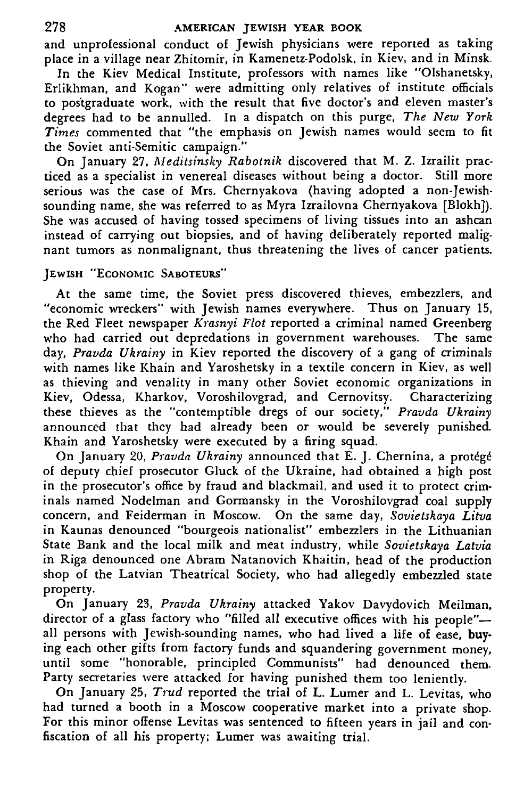and unprofessional conduct of Jewish physicians were reported as taking place in a village near Zhitomir, in Kamenetz-Podolsk, in Kiev, and in Minsk.

In the Kiev Medical Institute, professors with names like "Olshanetsky, Erlikhman, and Kogan" were admitting only relatives of institute officials to postgraduate work, with the result that five doctor's and eleven master's degrees had to be annulled. In a dispatch on this purge, *The New York Times* commented that "the emphasis on Jewish names would seem to fit the Soviet anti-Semitic campaign."

On January 27, *Meditsinsky Rabotnik* discovered that M. Z. Izrailit practiced as a specialist in venereal diseases without being a doctor. Still more serious was the case of Mrs. Chernyakova (having adopted a non-Jewishsounding name, she was referred to as Myra Izrailovna Chernyakova [Blokh]). She was accused of having tossed specimens of living tissues into an ashcan instead of carrying out biopsies, and of having deliberately reported malignant tumors as nonmalignant, thus threatening the lives of cancer patients.

#### JEWISH "ECONOMIC SABOTEURS"

At the same time, the Soviet press discovered thieves, embezzlers, and "economic wreckers" with Jewish names everywhere. Thus on January 15, the Red Fleet newspaper *Krasnyi Flot* reported a criminal named Greenberg who had carried out depredations in government warehouses. The same day, *Pravda Ukrainy* in Kiev reported the discovery of a gang of criminals with names like Khain and Yaroshetsky in a textile concern in Kiev, as well as thieving and venality in many other Soviet economic organizations in Kiev, Odessa, Kharkov, Voroshilovgrad, and Cernovitsy. Characterizing these thieves as the "contemptible dregs of our society," *Pravda Ukrainy* announced that they had already been or would be severely punished. Khain and Yaroshetsky were executed by a firing squad.

On January 20, Pravda Ukrainy announced that E. J. Chernina, a protégé of deputy chief prosecutor Gluck of the Ukraine, had obtained a high post in the prosecutor's office by fraud and blackmail, and used it to protect criminals named Nodelman and Gormansky in the Voroshilovgrad coal supply concern, and Feiderman in Moscow. On the same day, *Sovietskaya Litva* in Kaunas denounced "bourgeois nationalist" embezzlers in the Lithuanian State Bank and the local milk and meat industry, while *Sovietskaya Latvia* in Riga denounced one Abram Natanovich Khaitin, head of the production shop of the Latvian Theatrical Society, who had allegedly embezzled state property.

On January 23, *Pravda Ukrainy* attacked Yakov Davydovich Meilman, director of a glass factory who "filled all executive offices with his people" all persons with Jewish-sounding names, who had lived a life of ease, buying each other gifts from factory funds and squandering government money, until some "honorable, principled Communists" had denounced them. Party secretaries were attacked for having punished them too leniently.

On January 25, *Trud* reported the trial of L. Lumer and L. Levitas, who had turned a booth in a Moscow cooperative market into a private shop. For this minor offense Levitas was sentenced to fifteen years in jail and confiscation of all his property; Lumer was awaiting trial.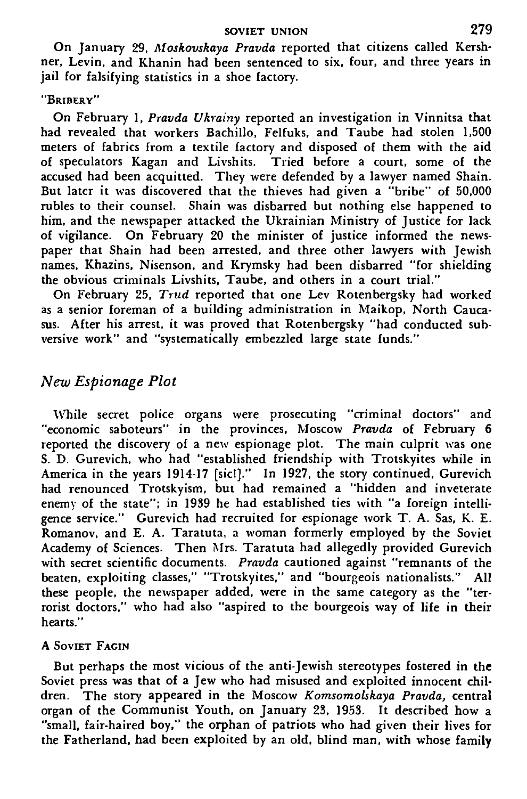#### **SOVIET UNION** 279

On January 29, *Moskovskaya Pravda* reported that citizens called Kershner. Levin, and Khanin had been sentenced to six, four, and three years in jail for falsifying statistics in a shoe factory.

### "BRIBERY"

On February 1, *Pravda Ukrainy* reported an investigation in Vinnitsa that had revealed that workers Bachillo, Felfuks, and Taube had stolen 1,500 meters of fabrics from a textile factory and disposed of them with the aid of speculators Kagan and Livshits. Tried before a court, some of the accused had been acquitted. They were defended by a lawyer named Shain. But later it was discovered that the thieves had given a "bribe" of 50,000 rubles to their counsel. Shain was disbarred but nothing else happened to him, and the newspaper attacked the Ukrainian Ministry of Justice for lack of vigilance. On February 20 the minister of justice informed the newspaper that Shain had been arrested, and three other lawyers with Jewish names, Khazins, Nisenson, and Krymsky had been disbarred "for shielding the obvious criminals Livshits, Taube, and others in a court trial."

On February 25, *Trud* reported that one Lev Rotenbergsky had worked as a senior foreman of a building administration in Maikop, North Caucasus. After his arrest, it was proved that Rotenbergsky "had conducted subversive work" and "systematically embezzled large state funds."

### *New Espionage Plot*

While secret police organs were prosecuting "criminal doctors" and "economic saboteurs" in the provinces, Moscow *Pravda* of February 6 reported the discovery of a new espionage plot. The main culprit was one S. D. Gurevich, who had "established friendship with Trotskyites while in America in the years 1914-17 [sic!]." In 1927, the story continued, Gurevich had renounced Trotskyism, but had remained a "hidden and inveterate enemy of the state"; in 1939 he had established ties with "a foreign intelligence service." Gurevich had recruited for espionage work T. A. Sas, K. E. Romanov, and E. A. Taratuta, a woman formerly employed by the Soviet Academy of Sciences. Then Mrs. Taratuta had allegedly provided Gurevich with secret scientific documents. *Pravda* cautioned against "remnants of the beaten, exploiting classes," "Trotskyites," and "bourgeois nationalists." All these people, the newspaper added, were in the same category as the "terrorist doctors," who had also "aspired to the bourgeois way of life in their hearts."

### A SOVIET FACIN

But perhaps the most vicious of the anti-Jewish stereotypes fostered in the Soviet press was that of a Jew who had misused and exploited innocent children. The story appeared in the Moscow *Komsomolskaya Pravda,* central organ of the Communist Youth, on January 23, 1953. It described how a "small, fair-haired boy," the orphan of patriots who had given their lives for the Fatherland, had been exploited by an old, blind man, with whose family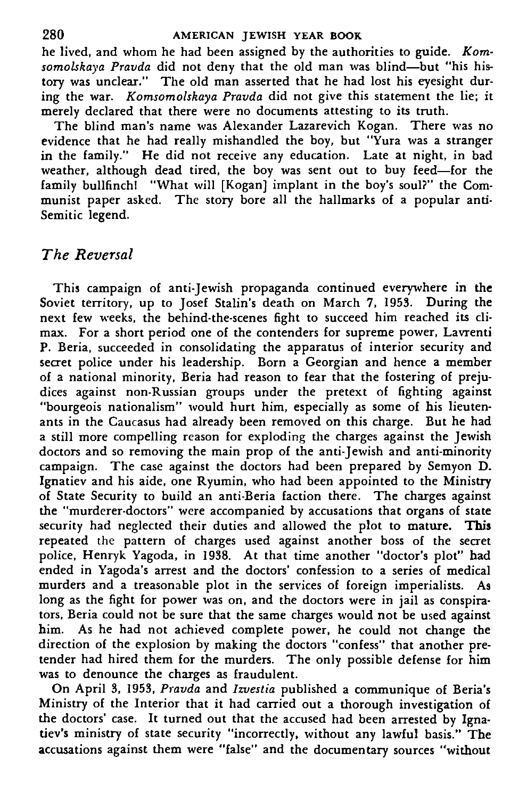he lived, and whom he had been assigned by the authorities to guide. *Komsomolskaya Pravda* did not deny that the old man was blind—but "his history was unclear." The old man asserted that he had lost his eyesight during the war. *Komsomolskaya Pravda* did not give this statement the lie; it merely declared that there were no documents attesting to its truth.

The blind man's name was Alexander Lazarevich Kogan. There was no evidence that he had really mishandled the boy, but "Yura was a stranger in the family." He did not receive any education. Late at night, in bad weather, although dead tired, the boy was sent out to buy feed—for the family bullfinch! "What will [Kogan] implant in the boy's soul?" the Communist paper asked. The story bore all the hallmarks of a popular anti-Semitic legend.

# *The Reversal*

This campaign of anti-Jewish propaganda continued everywhere in **the** Soviet territory, up to Josef Stalin's death on March 7, 1953. During the next few weeks, the behind-the-scenes fight to succeed him reached its climax. For a short period one of the contenders for supreme power, Lavrenti P. Beria, succeeded in consolidating the apparatus of interior security and secret police under his leadership. Born a Georgian and hence a member of a national minority, Beria had reason to fear that the fostering of prejudices against non-Russian groups under the pretext of fighting against "bourgeois nationalism" would hurt him, especially as some of his lieutenants in the Caucasus had already been removed on this charge. But he had a still more compelling reason for exploding the charges against the Jewish doctors and so removing the main prop of the anti-Jewish and anti-minority campaign. The case against the doctors had been prepared by Semyon D. Ignatiev and his aide, one Ryumin, who had been appointed to the Ministry of State Security to build an anti-Beria faction there. The charges against the "murderer-doctors" were accompanied by accusations that organs of state security had neglected their duties and allowed the plot **to mature. This** repeated the pattern of charges used against another boss of the secret police, Henryk Yagoda, in 1938. At that time another "doctor's plot" had ended in Yagoda's arrest and the doctors' confession to a series of medical murders and a treasonable plot in the services of foreign imperialists. As long as the fight for power was on, and the doctors were in jail as conspirators, Beria could not be sure that the same charges would not be used against him. As he had not achieved complete power, he could not change the direction of the explosion by making the doctors "confess" that another pretender had hired them for the murders. The only possible defense for him was to denounce the charges as fraudulent.

On April 3, 1953, *Pravda* and *Izvestia* published a communique of Beria's Ministry of the Interior that it had carried out a thorough investigation of the doctors' case. It turned out that the accused had been arrested by Ignatiev's ministry of state security "incorrectly, without any lawful basis." The accusations against them were "false" and the documentary sources "without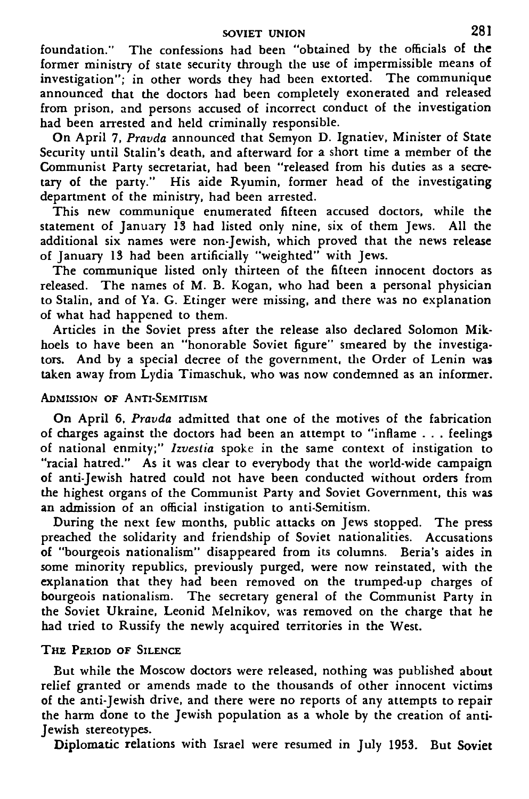### **SOVIET UNION** 281

foundation." The confessions had been "obtained by the officials of the former ministry of state security through the use of impermissible means of investigation"; in other words they had been extorted. The communique announced that the doctors had been completely exonerated and released from prison, and persons accused of incorrect conduct of the investigation had been arrested and held criminally responsible.

On April 7, *Pravda* announced that Semyon D. Ignatiev, Minister of State Security until Stalin's death, and afterward for a short time a member of the Communist Party secretariat, had been "released from his duties as a secretary of the party." His aide Ryumin, former head of the investigating department of the ministry, had been arrested.

This new communique enumerated fifteen accused doctors, while the statement of January 13 had listed only nine, six of them Jews. All the additional six names were non-Jewish, which proved that the news release of January 13 had been artificially "weighted" with Jews.

The communique listed only thirteen of the fifteen innocent doctors as released. The names of M. B. Kogan, who had been a personal physician to Stalin, and of Ya. G. Etinger were missing, and there was no explanation of what had happened to them.

Articles in the Soviet press after the release also declared Solomon Mikhoels to have been an "honorable Soviet figure" smeared by the investigators. And by a special decree of the government, the Order of Lenin was taken away from Lydia Timaschuk, who was now condemned as an informer.

#### ADMISSION OF ANTI-SEMITISM

On April 6, *Pravda* admitted that one of the motives of the fabrication of charges against the doctors had been an attempt to "inflame . . . feelings of national enmity;" *Izvestia* spoke in the same context of instigation to "racial hatred." As it was clear to everybody that the world-wide campaign of anti-Jewish hatred could not have been conducted without orders from the highest organs of the Communist Party and Soviet Government, this was an admission of an official instigation to anti-Semitism.

During the next few months, public attacks on Jews stopped. The press preached the solidarity and friendship of Soviet nationalities. Accusations of "bourgeois nationalism" disappeared from its columns. Beria's aides in some minority republics, previously purged, were now reinstated, with the explanation that they had been removed on the trumped-up charges of bourgeois nationalism. The secretary general of the Communist Party in the Soviet Ukraine, Leonid Melnikov, was removed on the charge that he had tried to Russify the newly acquired territories in the West.

#### THE PERIOD OF SILENCE

But while the Moscow doctors were released, nothing was published about relief granted or amends made to the thousands of other innocent victims of the anti-Jewish drive, and there were no reports of any attempts to repair the harm done to the Jewish population as a whole by the creation of anti-Jewish stereotypes.

Diplomatic relations with Israel were resumed in July 1953. But Soviet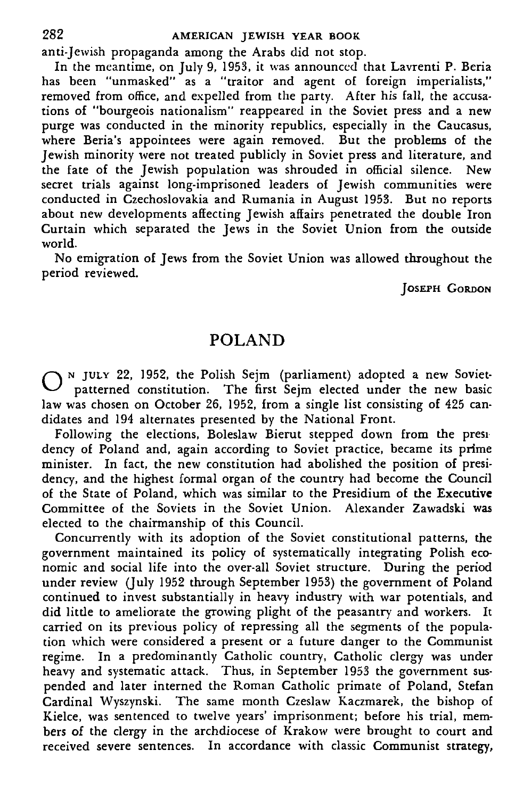anti-Jewish propaganda among the Arabs did not stop.

In the meantime, on July 9, 1953, it was announced that Lavrenti P. Beria has been "unmasked" as a "traitor and agent of foreign imperialists," removed from office, and expelled from the party. After his fall, the accusations of "bourgeois nationalism" reappeared in the Soviet press and a new purge was conducted in the minority republics, especially in the Caucasus, where Beria's appointees were again removed. But the problems of the Jewish minority were not treated publicly in Soviet press and literature, and the fate of the Jewish population was shrouded in official silence. New secret trials against long-imprisoned leaders of Jewish communities were conducted in Czechoslovakia and Rumania in August 1953. But no reports about new developments affecting Jewish affairs penetrated the double Iron Curtain which separated the Jews in the Soviet Union from the outside world.

No emigration of Jews from the Soviet Union was allowed throughout the period reviewed.

JOSEPH CORDON

# POLAND

O <sup>N</sup> JULY 22, 1952, the Polish Sejm (parliament) adopted a new Soviet-<br>O patterned constitution. The first Sejm elected under the new basic patterned constitution. The first Sejm elected under the new basic law was chosen on October 26, 1952, from a single list consisting of 425 candidates and 194 alternates presented by the National Front.

Following the elections, Boleslaw Bierut stepped down from the presi dency of Poland and, again according to Soviet practice, became its prime minister. In fact, the new constitution had abolished the position of presidency, and the highest formal organ of the country had become the Council of the State of Poland, which was similar to the Presidium of the Executive Committee of the Soviets in the Soviet Union. Alexander Zawadski was elected to the chairmanship of this Council.

Concurrently with its adoption of the Soviet constitutional patterns, the government maintained its policy of systematically integrating Polish economic and social life into the over-all Soviet structure. During the period under review (July 1952 through September 1953) the government of Poland continued to invest substantially in heavy industry with war potentials, and did little to ameliorate the growing plight of the peasantry and workers. It carried on its previous policy of repressing all the segments of the population which were considered a present or a future danger to the Communist regime. In a predominantly Catholic country, Catholic clergy was under heavy and systematic attack. Thus, in September 1953 the government suspended and later interned the Roman Catholic primate of Poland, Stefan Cardinal Wyszynski. The same month Czeslaw Kaczmarek, the bishop of Kielce, was sentenced to twelve years' imprisonment; before his trial, members of the clergy in the archdiocese of Krakow were brought to court and received severe sentences. In accordance with classic Communist strategy,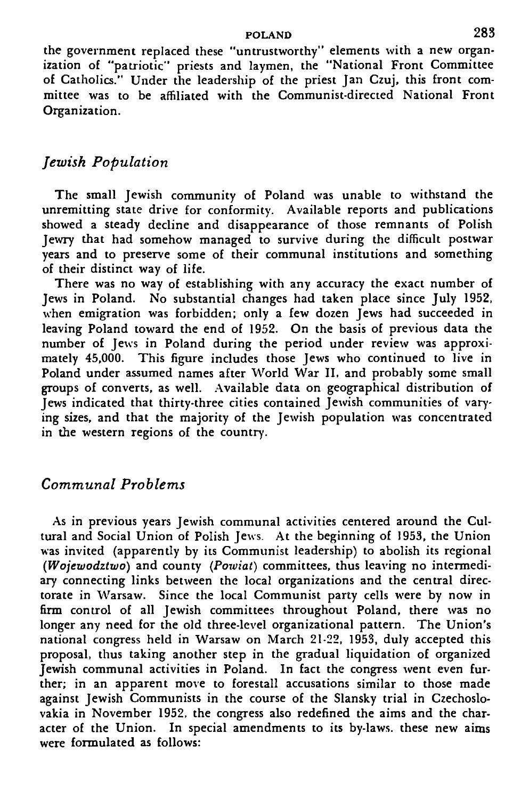#### POLAND 283

the government replaced these "untrustworthy" elements with a new organization of "patriotic" priests and laymen, the "National Front Committee of Catholics." Under the leadership of the priest Jan Czuj, this front committee was to be affiliated with the Communist-directed National Front Organization.

### *Jewish Population*

The small Jewish community of Poland was unable to withstand the unremitting state drive for conformity. Available reports and publications showed a steady decline and disappearance of those remnants of Polish Jewry that had somehow managed to survive during the difficult postwar years and to preserve some of their communal institutions and something of their distinct way of life.

There was no way of establishing with any accuracy the exact number of Jews in Poland. No substantial changes had taken place since July 1952, when emigration was forbidden; only a few dozen Jews had succeeded in leaving Poland toward the end of 1952. On the basis of previous data the number of Jews in Poland during the period under review was approximately 45,000. This figure includes those Jews who continued to live in Poland under assumed names after World War II. and probably some small groups of converts, as well. Available data on geographical distribution of Jews indicated that thirty-three cities contained Jewish communities of varying sizes, and that the majority of the Jewish population was concentrated in the western regions of the country.

### *Communal Problems*

As in previous years Jewish communal activities centered around the Cultural and Social Union of Polish Jews. At the beginning of 1953, the Union was invited (apparently by its Communist leadership) to abolish its regional *(Wojewodztwo)* and county *(Poxviat)* committees, thus leaving no intermediary connecting links between the local organizations and the central directorate in Warsaw. Since the local Communist party cells were by now in firm control of all Jewish committees throughout Poland, there was no longer any need for the old three-level organizational pattern. The Union's national congress held in Warsaw on March 21-22, 1953, duly accepted this proposal, thus taking another step in the gradual liquidation of organized Jewish communal activities in Poland. In fact the congress went even further; in an apparent move to forestall accusations similar to those made against Jewish Communists in the course of the Slansky trial in Czechoslovakia in November 1952, the congress also redefined the aims and the character of the Union. In special amendments to its by-laws, these new aims were formulated as follows: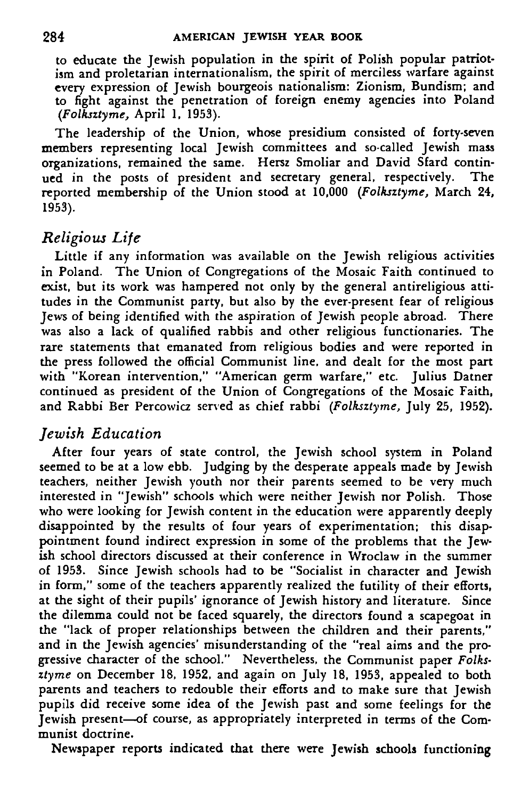to educate the Jewish population in the spirit of Polish popular patriotism and proletarian internationalism, the spirit of merciless warfare against every expression of Jewish bourgeois nationalism: Zionism, Bundism; and to fight against the penetration of foreign enemy agencies into Poland *(Folksztyme,* April 1, 1953).

The leadership of the Union, whose presidium consisted of forty-seven members representing local Jewish committees and so-called Jewish mass organizations, remained the same. Hersz Smoliar and David Sfard continued in the posts of president and secretary general, respectively. The reported membership of the Union stood at 10,000 *(Folksztyme,* March 24, 1953).

# *Religious Life*

Little if any information was available on the Jewish religious activities in Poland. The Union of Congregations of the Mosaic Faith continued to exist, but its work was hampered not only by the general antireligious attitudes in the Communist party, but also by the ever-present fear of religious Jews of being identified with the aspiration of Jewish people abroad. There was also a lack of qualified rabbis and other religious functionaries. The rare statements that emanated from religious bodies and were reported in the press followed the official Communist line, and dealt for the most part with "Korean intervention," "American germ warfare," etc. Julius Datner continued as president of the Union of Congregations of the Mosaic Faith, and Rabbi Ber Percowicz served as chief rabbi *(Folksztyme,* July 25, 1952).

# *Jewish Education*

After four years of state control, the Jewish school system in Poland seemed to be at a low ebb. Judging by the desperate appeals made by Jewish teachers, neither Jewish youth nor their parents seemed to be very much interested in "Jewish" schools which were neither Jewish nor Polish. Those who were looking for Jewish content in the education were apparently deeply disappointed by the results of four years of experimentation; this disappointment found indirect expression in some of the problems that the Jewish school directors discussed at their conference in Wroclaw in the summer of 1953. Since Jewish schools had to be "Socialist in character and Jewish in form," some of the teachers apparently realized the futility of their efforts, at the sight of their pupils' ignorance of Jewish history and literature. Since the dilemma could not be faced squarely, the directors found a scapegoat in the "lack of proper relationships between the children and their parents," and in the Jewish agencies' misunderstanding of the "real aims and the progressive character of the school." Nevertheless, the Communist paper *Folksztyme* on December 18, 1952, and again on July 18, 1953, appealed to both parents and teachers to redouble their efforts and to make sure that Jewish pupils did receive some idea of the Jewish past and some feelings for the Jewish present—of course, as appropriately interpreted in terms of the Communist doctrine.

Newspaper reports indicated that there were Jewish schools functioning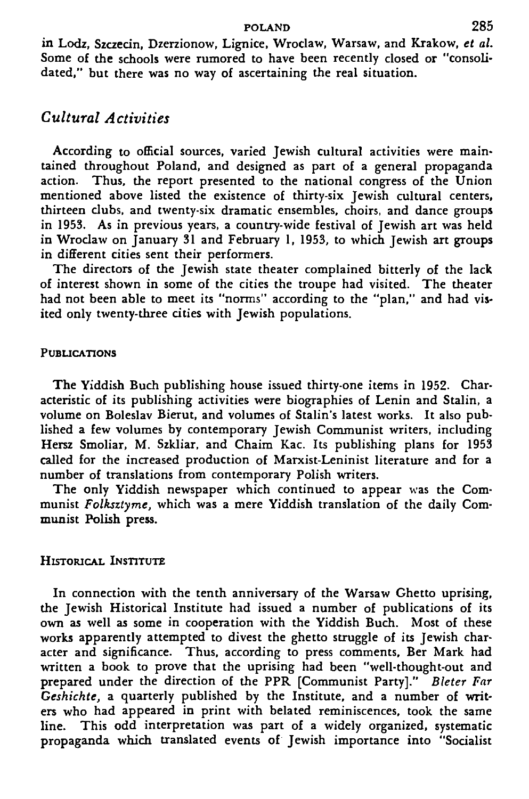#### POLAND 285

in Lodz, Szczecin, Dzerzionow, Lignice, Wroclaw, Warsaw, and Krakow, *et al.* Some of the schools were rumored to have been recently closed or "consolidated," but there was no way of ascertaining the real situation.

### *Cultural Activities*

According to official sources, varied Jewish cultural activities were maintained throughout Poland, and designed as part of a general propaganda action. Thus, the report presented to the national congress of the Union mentioned above listed the existence of thirty-six Jewish cultural centers, thirteen dubs, and twenty-six dramatic ensembles, choirs, and dance groups in 1953. As in previous years, a country-wide festival of Jewish art was held in Wroclaw on January 31 and February 1, 1953, to which Jewish art groups in different cities sent their performers.

The directors of the Jewish state theater complained bitterly of the lack of interest shown in some of the cities the troupe had visited. The theater had not been able to meet its "norms" according to the "plan," and had visited only twenty-three cities with Jewish populations.

#### PUBLICATIONS

The Yiddish Buch publishing house issued thirty-one items in 1952. Characteristic of its publishing activities were biographies of Lenin and Stalin, a volume on Boleslav Bierut, and volumes of Stalin's latest works. It also published a few volumes by contemporary Jewish Communist writers, including Hersz Smoliar, M. Szkliar, and Chaim Kac. Its publishing plans for 1953 called for the increased production of Marxist-Leninist literature and for a number of translations from contemporary Polish writers.

The only Yiddish newspaper which continued to appear was the Communist *Folksztyme,* which was a mere Yiddish translation of the daily Communist Polish press.

#### HISTORICAL INSTITUTE

In connection with the tenth anniversary of the Warsaw Ghetto uprising, the Jewish Historical Institute had issued a number of publications of its own as well as some in cooperation with the Yiddish Buch. Most of these works apparently attempted to divest the ghetto struggle of its Jewish character and significance. Thus, according to press comments, Ber Mark had written a book to prove that the uprising had been "well-thought-out and prepared under the direction of the PPR [Communist Party]." *Bleter Far Geshichte,* a quarterly published by the Institute, and a number of writers who had appeared in print with belated reminiscences, took the same line. This odd interpretation was part of a widely organized, systematic propaganda which translated events of Jewish importance into "Socialist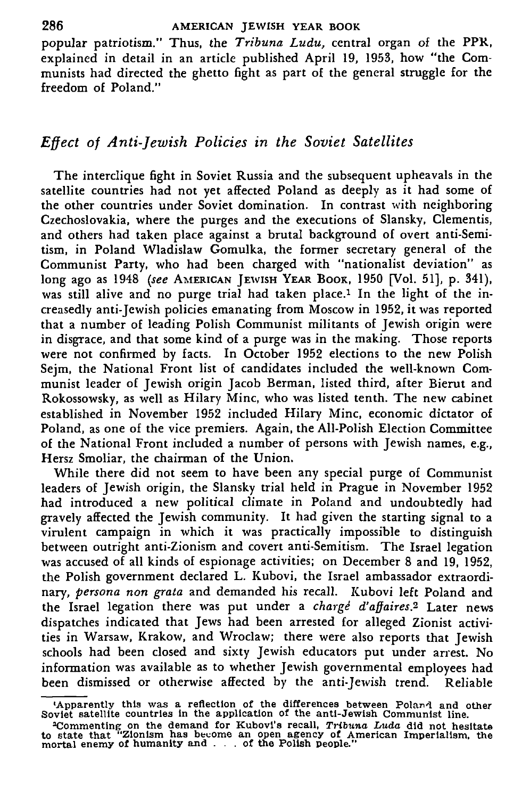popular patriotism." Thus, the *Tribuna Ludu,* central organ of the PPR, explained in detail in an article published April 19, 1953, how "the Communists had directed the ghetto fight as part of the general struggle for the freedom of Poland."

### *Effect of Anti-Jewish Policies in the Soviet Satellites*

The interclique fight in Soviet Russia and the subsequent upheavals in the satellite countries had not yet affected Poland as deeply as it had some of the other countries under Soviet domination. In contrast with neighboring Czechoslovakia, where the purges and the executions of Slansky, Clementis, and others had taken place against a brutal background of overt anti-Semitism, in Poland Wladislaw Gomulka, the former secretary general of the Communist Party, who had been charged with "nationalist deviation" as long ago as 1948 *(see* AMERICAN JEWISH YEAR BOOK, 1950 [Vol. 51], p. 341), was still alive and no purge trial had taken place.<sup>1</sup> In the light of the increasedly anti-Jewish policies emanating from Moscow in 1952, it was reported that a number of leading Polish Communist militants of Jewish origin were in disgrace, and that some kind of a purge was in the making. Those reports were not confirmed by facts. In October 1952 elections to the new Polish Seim, the National Front list of candidates included the well-known Communist leader of Jewish origin Jacob Berman, listed third, after Bierut and Rokossowsky, as well as Hilary Mine, who was listed tenth. The new cabinet established in November 1952 included Hilary Mine, economic dictator of Poland, as one of the vice premiers. Again, the All-Polish Election Committee of the National Front included a number of persons with Jewish names, e.g., Hersz Smoliar, the chairman of the Union.

While there did not seem to have been any special purge of Communist leaders of Jewish origin, the Slansky trial held in Prague in November 1952 had introduced a new political climate in Poland and undoubtedly had gravely affected the Jewish community. It had given the starting signal to a virulent campaign in which it was practically impossible to distinguish between outright anti-Zionism and covert anti-Semitism. The Israel legation was accused of all kinds of espionage activities; on December 8 and 19, 1952. the Polish government declared L. Kubovi, the Israel ambassador extraordinary, *persona non grata* and demanded his recall. Kubovi left Poland and the Israel legation there was put under a *charge<sup>1</sup> d'affaires.<sup>2</sup>* Later news dispatches indicated that Jews had been arrested for alleged Zionist activities in Warsaw, Krakow, and Wroclaw; there were also reports that Jewish schools had been closed and sixty Jewish educators put under arrest. No information was available as to whether Jewish governmental employees had been dismissed or otherwise affected by the anti-Jewish trend. Reliable

**<sup>•</sup>Apparently this was a reflection of the differences between Poland and other Soviet satellite countries In the application of the anti-Jewish Communist line.**

<sup>&</sup>lt;sup>2</sup>Commenting on the demand for Kubovi's recall, *Tribuna Luda* did not hesitate to state that "Zionism has become an open agency of American Imperialism, the mortal enemy of humanity and  $\ldots$  of the Polish people."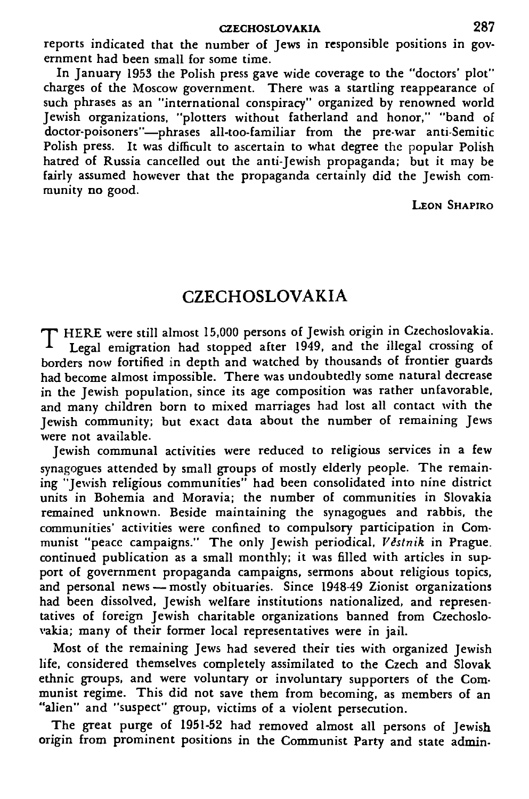reports indicated that the number of Jews in responsible positions in government had been small for some time.

In January 1953 the Polish press gave wide coverage to the "doctors' plot" charges of the Moscow government. There was a startling reappearance of such phrases as an "international conspiracy" organized by renowned world Jewish organizations, "plotters without fatherland and honor," "band of doctor-poisoners"—phrases all-too-familiar from the pre-war anti-Semitic Polish press. It was difficult to ascertain to what degree the popular Polish hatred of Russia cancelled out the anti-Jewish propaganda; but it may be fairly assumed however that the propaganda certainly did the Jewish community no good.

LEON SHAPIRO

# CZECHOSLOVAKIA

T HERE were still almost 15,000 persons of Jewish origin in Czechoslovakia. Legal emigration had stopped after 1949, and the illegal crossing of borders now fortified in depth and watched by thousands of frontier guards had become almost impossible. There was undoubtedly some natural decrease in the Jewish population, since its age composition was rather unfavorable, and many children born to mixed marriages had lost all contact with the Jewish community; but exact data about the number of remaining Jews were not available.

Jewish communal activities were reduced to religious services in a few synagogues attended by small groups of mostly elderly people. The remaining "Jewish religious communities" had been consolidated into nine district units in Bohemia and Moravia; the number of communities in Slovakia remained unknown. Beside maintaining the synagogues and rabbis, the communities' activities were confined to compulsory participation in Communist "peace campaigns." The only Jewish periodical, *Vistnik* in Prague, continued publication as a small monthly; it was filled with articles in support of government propaganda campaigns, sermons about religious topics, and personal news — mostly obituaries. Since 1948-49 Zionist organizations had been dissolved, Jewish welfare institutions nationalized, and representatives of foreign Jewish charitable organizations banned from Czechoslovakia; many of their former local representatives were in jail.

Most of the remaining Jews had severed their ties with organized Jewish life, considered themselves completely assimilated to the Czech and Slovak ethnic groups, and were voluntary or involuntary supporters of the Communist regime. This did not save them from becoming, as members of an "alien" and "suspect" group, victims of a violent persecution.

The great purge of 1951-52 had removed almost all persons of Jewish origin from prominent positions in the Communist Party and state admin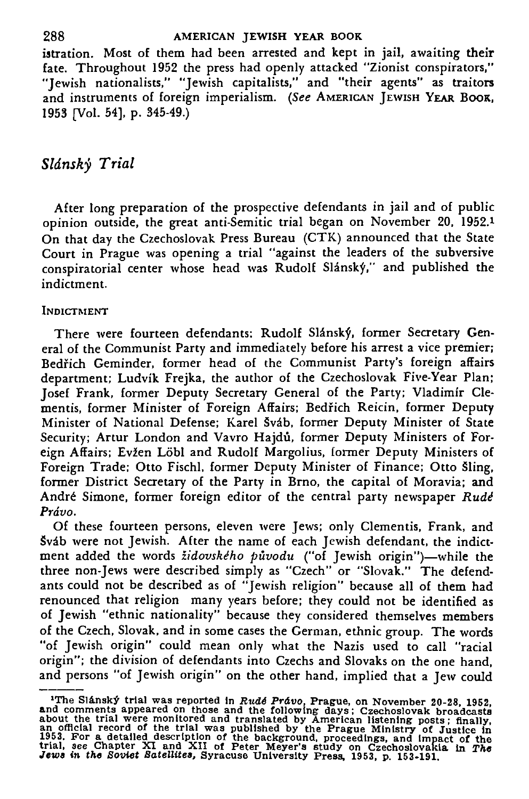istration. Most of them had been arrested and kept in jail, awaiting their fate. Throughout 1952 the press had openly attacked "Zionist conspirators," "Jewish nationalists," "Jewish capitalists," and "their agents" as traitors and instruments of foreign imperialism. *(See* AMERICAN JEWISH YEAR BOOK, 1953 [Vol. 54], p. 345-49.)

## *Sldnsky Trial*

After long preparation of the prospective defendants in jail and of public opinion outside, the great anti-Semitic trial began on November 20, 1952.<sup>1</sup> On that day the Czechoslovak Press Bureau (CTK) announced that the State Court in Prague was opening a trial "against the leaders of the subversive conspiratorial center whose head was Rudolf Slánský," and published the indictment.

#### INDICTMENT

There were fourteen defendants: Rudolf Slánský, former Secretary General of the Communist Party and immediately before his arrest a vice premier; Bedřich Geminder, former head of the Communist Party's foreign affairs department; Ludvik Frejka, the author of the Czechoslovak Five-Year Plan; Josef Frank, former Deputy Secretary General of the Party; Vladimir Clementis, former Minister of Foreign Affairs; Bedfich Reicin, former Deputy Minister of National Defense; Karel Šváb, former Deputy Minister of State Security; Artur London and Vavro Hajdu, former Deputy Ministers of Foreign Affairs; Evžen Löbl and Rudolf Margolius, former Deputy Ministers of Foreign Trade; Otto Fischl, former Deputy Minister of Finance; Otto Sling, former District Secretary of the Party in Brno, the capital of Moravia; and Andre Simone, former foreign editor of the central party newspaper *Rudi Prdvo.*

Of these fourteen persons, eleven were Jews; only Clementis, Frank, and Sváb were not Jewish. After the name of each Jewish defendant, the indictment added the words *židovského původu* ("of Jewish origin")—while the three non-Jews were described simply as "Czech" or "Slovak." The defendants could not be described as of "Jewish religion" because all of them had renounced that religion many years before; they could not be identified as of Jewish "ethnic nationality" because they considered themselves members of the Czech, Slovak, and in some cases the German, ethnic group. The words "of Jewish origin" could mean only what the Nazis used to call "racial origin"; the division of defendants into Czechs and Slovaks on the one hand, and persons "of Jewish origin" on the other hand, implied that a Jew could

<sup>&</sup>lt;sup>1</sup>The Slánský trial was reported in Rudé Právo, Prague, on November 20-28, 1952, about the trial were monitored and the following days; Czechoslovak broadcasts an official record of the trial was published by American li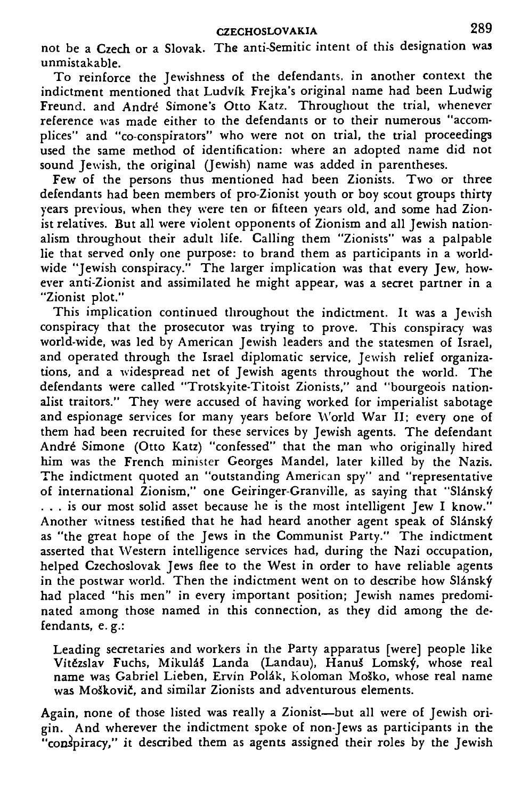not be a Czech or a Slovak. The anti-Semitic intent of this designation was unmistakable.

To reinforce the Jewishness of the defendants, in another context the indictment mentioned that Ludvlk Frejka's original name had been Ludwig Freund. and Andre" Simone's Otto Katz. Throughout the trial, whenever reference was made either to the defendants or to their numerous "accomplices" and "co-conspirators" who were not on trial, the trial proceedings used the same method of identification: where an adopted name did not sound Jewish, the original (Jewish) name was added in parentheses.

Few of the persons thus mentioned had been Zionists. Two or three defendants had been members of pro-Zionist youth or boy scout groups thirty years previous, when they were ten or fifteen years old, and some had Zionist relatives. But all were violent opponents of Zionism and all Jewish nationalism throughout their adult life. Calling them "Zionists" was a palpable lie that served only one purpose: to brand them as participants in a worldwide "Jewish conspiracy." The larger implication was that every Jew, however anti-Zionist and assimilated he might appear, was a secret partner in a "Zionist plot."

This implication continued throughout the indictment. It was a Jewish conspiracy that the prosecutor was trying to prove. This conspiracy was world-wide, was led by American Jewish leaders and the statesmen of Israel, and operated through the Israel diplomatic service, Jewish relief organizations, and a widespread net of Jewish agents throughout the world. The defendants were called "Trotskyite-Titoist Zionists," and "bourgeois nationalist traitors." They were accused of having worked for imperialist sabotage and espionage services for many years before World War II; every one of them had been recruited for these services by Jewish agents. The defendant Andr6 Simone (Otto Katz) "confessed" that the man who originally hired him was the French minister Georges Mandel, later killed by the Nazis. The indictment quoted an "outstanding American spy" and "representative of international Zionism," one Geiringer-Granville, as saying that "Slánský ... is our most solid asset because he is the most intelligent Jew I know." Another witness testified that he had heard another agent speak of Slánský as "the great hope of the Jews in the Communist Party." The indictment asserted that Western intelligence services had, during the Nazi occupation, helped Czechoslovak Jews flee to the West in order to have reliable agents in the postwar world. Then the indictment went on to describe how Slansky had placed "his men" in every important position; Jewish names predominated among those named in this connection, as they did among the defendants, e. g.:

Leading secretaries and workers in the Party apparatus [were] people like Vitězslav Fuchs, Mikuláš Landa (Landau), Hanuš Lomský, whose real name was Gabriel Lieben, Ervin Polak, Koloman MoSko, whose real name mane was Sastrer Hessen, Herrif Fearly Ferencial Hessie, who

Again, none of those listed was really a Zionist—but all were of Jewish origin. And wherever the indictment spoke of non-Jews as participants in the "conspiracy," it described them as agents assigned their roles by the Jewish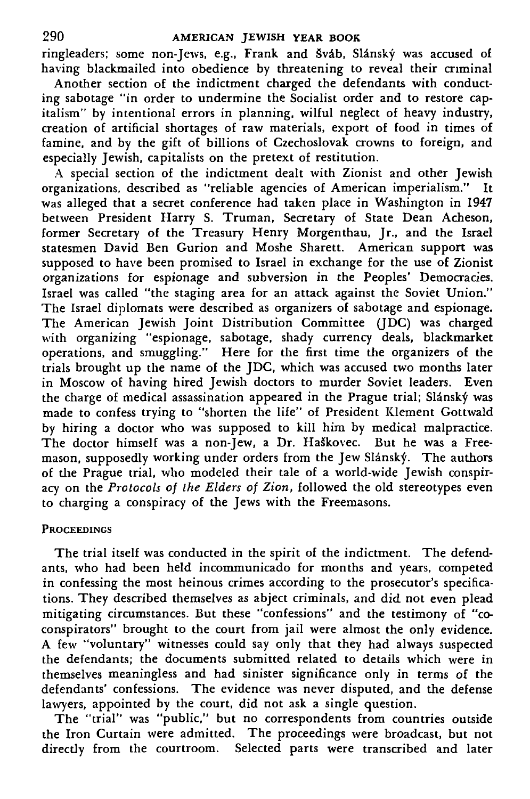ringleaders; some non-Jews, e.g., Frank and Šváb, Slánský was accused of having blackmailed into obedience by threatening to reveal their criminal

Another section of the indictment charged the defendants with conducting sabotage "in order to undermine the Socialist order and to restore capitalism" by intentional errors in planning, wilful neglect of heavy industry, creation of artificial shortages of raw materials, export of food in times of famine, and by the gift of billions of Czechoslovak crowns to foreign, and especially Jewish, capitalists on the pretext of restitution.

A special section of the indictment dealt with Zionist and other Jewish organizations, described as "reliable agencies of American imperialism." It was alleged that a secret conference had taken place in Washington in 1947 between President Harry S. Truman, Secretary of State Dean Acheson. former Secretary of the Treasury Henry Morgenthau, Jr., and the Israel statesmen David Ben Gurion and Moshe Sharett. American support was supposed to have been promised to Israel in exchange for the use of Zionist organizations for espionage and subversion in the Peoples' Democracies. Israel was called "the staging area for an attack against the Soviet Union." The Israel diplomats were described as organizers of sabotage and espionage. The American Jewish Joint Distribution Committee (JDC) was charged with organizing "espionage, sabotage, shady currency deals, blackmarket operations, and smuggling." Here for the first time the organizers of the trials brought up the name of the JDC, which was accused two months later in Moscow of having hired Jewish doctors to murder Soviet leaders. Even the charge of medical assassination appeared in the Prague trial; Slánský was made to confess trying to "shorten the life" of President Klement Gottwald by hiring a doctor who was supposed to kill him by medical malpractice. The doctor himself was a non-Jew, a Dr. Haškovec. But he was a Freemason, supposedly working under orders from the Jew Slánský. The authors of the Prague trial, who modeled their tale of a world-wide Jewish conspiracy on the *Protocols of the Elders of Zion,* followed the old stereotypes even to charging a conspiracy of the Jews with the Freemasons.

#### **PROCEEDINGS**

The trial itself was conducted in the spirit of the indictment. The defendants, who had been held incommunicado for months and years, competed in confessing the most heinous crimes according to the prosecutor's specifications. They described themselves as abject criminals, and did not even plead mitigating circumstances. But these "confessions" and the testimony of "coconspirators" brought to the court from jail were almost the only evidence. A few "voluntary" witnesses could say only that they had always suspected the defendants; the documents submitted related to details which were in themselves meaningless and had sinister significance only in terms of the defendants' confessions. The evidence was never disputed, and the defense lawyers, appointed by the court, did not ask a single question.

The "trial" was "public," but no correspondents from countries outside the Iron Curtain were admitted. The proceedings were broadcast, but not directly from the courtroom. Selected parts were transcribed and later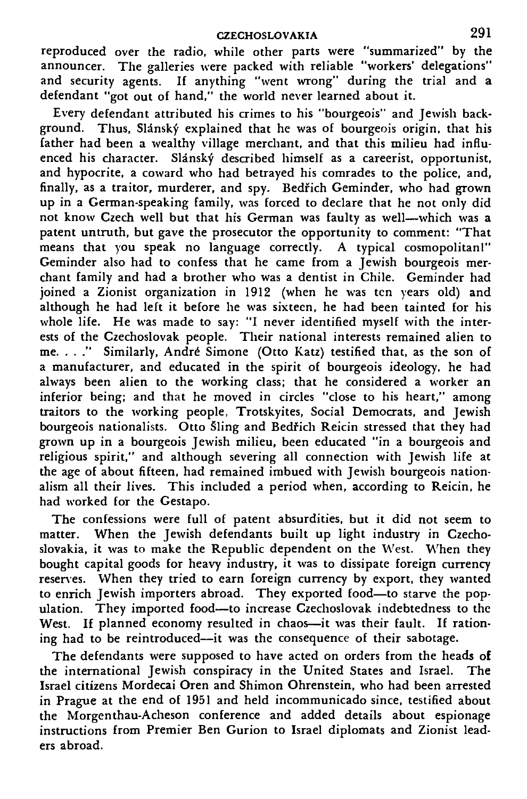reproduced over the radio, while other parts were "summarized" by the announcer. The galleries were packed with reliable "workers' delegations" and security agents. If anything "went wrong" during the trial and a defendant "got out of hand," the world never learned about it.

Every defendant attributed his crimes to his "bourgeois" and Jewish background. Thus, Slánský explained that he was of bourgeois origin, that his father had been a wealthy village merchant, and that this milieu had influenced his character. Slansky described himself as a careerist, opportunist, and hypocrite, a coward who had betrayed his comrades to the police, and, finally, as a traitor, murderer, and spy. Bedfich Geminder, who had grown up in a German-speaking family, was forced to declare that he not only did not know Czech well but that his German was faulty as well—which was a patent untruth, but gave the prosecutor the opportunity to comment: "That .<br>means that you speak no language correctly. A typical cosmopolitan!" Geminder also had to confess that he came from a Jewish bourgeois merchant family and had a brother who was a dentist in Chile. Geminder had joined a Zionist organization in 1912 (when he was ten years old) and although he had left it before he was sixteen, he had been tainted for his whole life. He was made to say: "I never identified myself with the interests of the Czechoslovak people. Their national interests remained alien to me. . . ." Similarly, Andre Simone (Otto Katz) testified that, as the son of a manufacturer, and educated in the spirit of bourgeois ideology, he had always been alien to the working class; that he considered a worker an inferior being; and that he moved in circles "close to his heart," among traitors to the working people, Trotskyites, Social Democrats, and Jewish bourgeois nationalists. Otto Sling and Bedfich Reicin stressed that they had grown up in a bourgeois Jewish milieu, been educated "in a bourgeois and religious spirit," and although severing all connection with Jewish life at the age of about fifteen, had remained imbued with Jewish bourgeois nationalism all their lives. This included a period when, according to Reicin, he had worked for the Gestapo.

The confessions were full of patent absurdities, but it did not seem to matter. When the Jewish defendants built up light industry in Czechoslovakia, it was to make the Republic dependent on the West. When they bought capital goods for heavy industry, it was to dissipate foreign currency reserves. When they tried to earn foreign currency by export, they wanted to enrich Jewish importers abroad. They exported food—to starve the population. They imported food—to increase Czechoslovak indebtedness to the West. If planned economy resulted in chaos—it was their fault. If rationing had to be reintroduced—it was the consequence of their sabotage.

The defendants were supposed to have acted on orders from the heads of the international Jewish conspiracy in the United States and Israel. The Israel citizens Mordecai Oren and Shimon Ohrenstein, who had been arrested in Prague at the end of 1951 and held incommunicado since, testified about the Morgenthau-Acheson conference and added details about espionage instructions from Premier Ben Gurion to Israel diplomats and Zionist leaders abroad.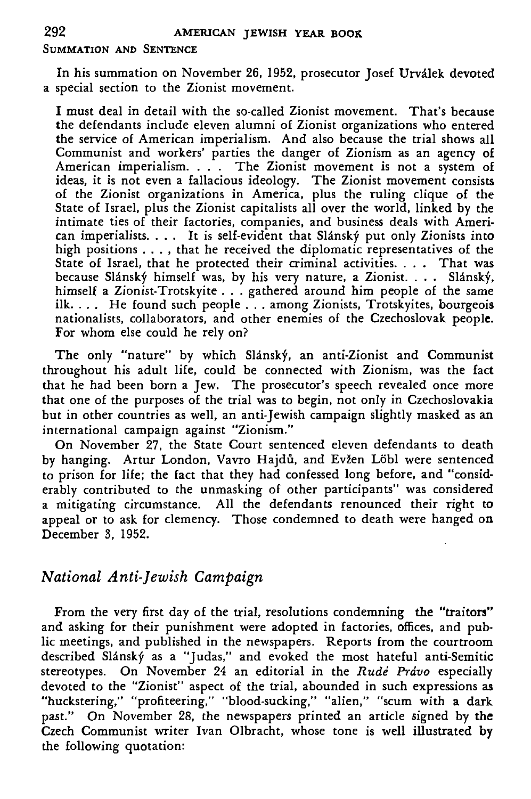#### SUMMATION AND SENTENCE

In his summation on November 26, 1952, prosecutor Josef Urvilek devoted a special section to the Zionist movement.

I must deal in detail with the so-called Zionist movement. That's because the defendants include eleven alumni of Zionist organizations who entered the service of American imperialism. And also because the trial shows all Communist and workers' parties the danger of Zionism as an agency of American imperialism. . . . The Zionist movement is not a system of ideas, it is not even a fallacious ideology. The Zionist movement consists of the Zionist organizations in America, plus the ruling clique of the State of Israel, plus the Zionist capitalists all over the world, linked by the intimate ties of their factories, companies, and business deals with American imperialists. . . . It is self-evident that Slánský put only Zionists into high positions . . . , that he received the diplomatic representatives of the State of Israel, that he protected their criminal activities. . . . That was because Slánský himself was, by his very nature, a Zionist. . . . Slánský, himself a Zionist-Trotskyite . . . gathered around him people of the same ilk. . . . He found such people .. . among Zionists, Trotskyites, bourgeois nationalists, collaborators, and other enemies of the Czechoslovak people. For whom else could he rely on?

The only "nature" by which Slánský, an anti-Zionist and Communist throughout his adult life, could be connected with Zionism, was the fact that he had been born a Jew. The prosecutor's speech revealed once more that one of the purposes of the trial was to begin, not only in Czechoslovakia but in other countries as well, an anti-Jewish campaign slightly masked as an international campaign against "Zionism."

On November 27, the State Court sentenced eleven defendants to death by hanging. Artur London, Vavro Hajdů, and Evžen Löbl were sentenced to prison for life; the fact that they had confessed long before, and "considerably contributed to the unmasking of other participants" was considered a mitigating circumstance. All the defendants renounced their right to appeal or to ask for clemency. Those condemned to death were hanged on December 3, 1952.

# *National Anti-Jewish Campaign*

From the very first day of the trial, resolutions condemning the "traitors" and asking for their punishment were adopted in factories, offices, and public meetings, and published in the newspapers. Reports from the courtroom described Slánský as a "Judas," and evoked the most hateful anti-Semitic stereotypes. On November 24 an editorial in the *Rude Prdvo* especially devoted to the "Zionist" aspect of the trial, abounded in such expressions as "huckstering," "profiteering," "blood-sucking," "alien," "scum with a dark past." On November 28, the newspapers printed an article signed by the Czech Communist writer Ivan Olbracht, whose tone is well illustrated by the following quotation: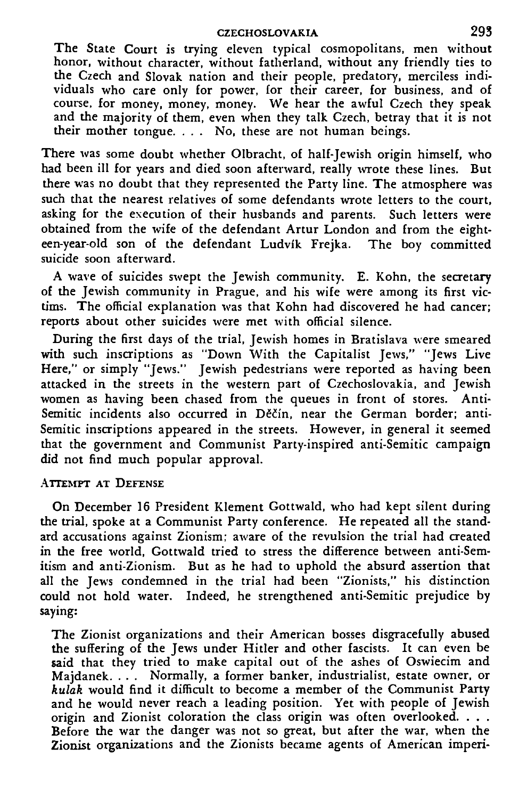#### **CZECHOSLOVAKIA 29 3**

The State Court is trying eleven typical cosmopolitans, men without honor, without character, without fatherland, without any friendly ties to the Czech and Slovak nation and their people, predatory, merciless individuals who care only for power, for their career, for business, and of course, for money, money, money. We hear the awful Czech they speak and the majority of them, even when they talk Czech, betray that it is not their mother tongue.  $\ldots$  No, these are not human beings.

There was some doubt whether Olbracht, of half-Jewish origin himself, who had been ill for years and died soon afterward, really wrote these lines. But there was no doubt that they represented the Party line. The atmosphere was such that the nearest relatives of some defendants wrote letters to the court, asking for the execution of their husbands and parents. Such letters were obtained from the wife of the defendant Artur London and from the eighteen-year-old son of the defendant Ludvik Frejka. The boy committed suicide soon afterward.

A wave of suicides swept the Jewish community. E. Kohn, the secretary of the Jewish community in Prague, and his wife were among its first victims. The official explanation was that Kohn had discovered he had cancer; reports about other suicides were met with official silence.

During the first days of the trial, Jewish homes in Bratislava were smeared with such inscriptions as "Down With the Capitalist Jews," "Jews Live Here," or simply "Jews." Jewish pedestrians were reported as having been attacked in the streets in the western part of Czechoslovakia, and Jewish women as having been chased from the queues in front of stores. Anti-Semitic incidents also occurred in Děčín, near the German border; anti-Semitic inscriptions appeared in the streets. However, in general it seemed that the government and Communist Party-inspired anti-Semitic campaign did not find much popular approval.

#### ATTEMPT AT DEFENSE

On December 16 President Klement Gottwald, who had kept silent during the trial, spoke at a Communist Party conference. He repeated all the standard accusations against Zionism; aware of the revulsion the trial had created in the free world, Gottwald tried to stress the difference between anti-Semitism and anti-Zionism. But as he had to uphold the absurd assertion that all the Jews condemned in the trial had been "Zionists," his distinction could not hold water. Indeed, he strengthened anti-Semitic prejudice by saying:

The Zionist organizations and their American bosses disgracefully abused the suffering of the Jews under Hitler and other fascists. It can even be said that they tried to make capital out of the ashes of Oswiecim and Majdanek. . . . Normally, a former banker, industrialist, estate owner, or *kulak* would find it difficult to become a member of the Communist Party and he would never reach a leading position. Yet with people of Jewish origin and Zionist coloration the class origin was often overlooked. . . . Before the war the danger was not so great, but after the war, when the Zionist organizations and the Zionists became agents of American imperi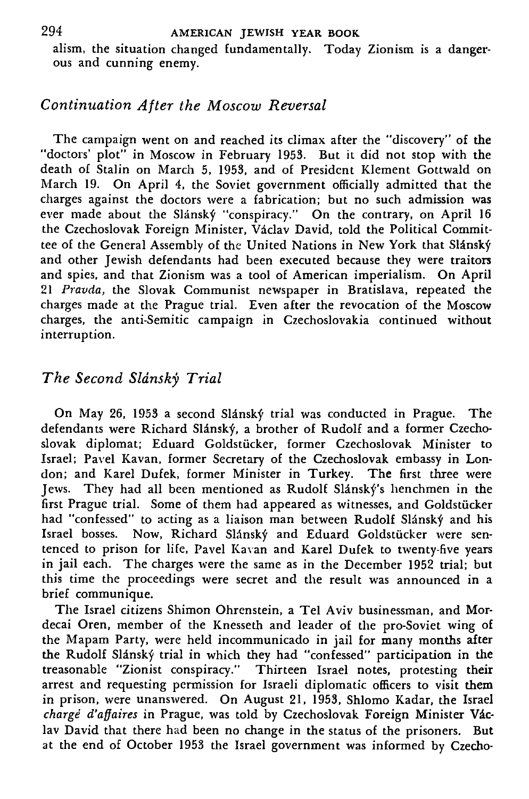alism, the situation changed fundamentally. Today Zionism is a dangerous and cunning enemy.

# *Continuation After the Moscow Reversal*

The campaign went on and reached its climax after the "discovery" of the "doctors' plot" in Moscow in February 1953. But it did not stop with the death of Stalin on March 5, 1953, and of President Klement Gottwald on March 19. On April 4, the Soviet government officially admitted that the charges against the doctors were a fabrication; but no such admission was ever made about the Slánský "conspiracy." On the contrary, on April 16 the Czechoslovak Foreign Minister, Vaclav David, told the Political Committee of the General Assembly of the United Nations in New York that Slansky and other Jewish defendants had been executed because they were traitors and spies, and that Zionism was a tool of American imperialism. On April 21 *Pravda,* the Slovak Communist newspaper in Bratislava, repeated the charges made at the Prague trial. Even after the revocation of the Moscow charges, the anti-Semitic campaign in Czechoslovakia continued without interruption.

# *The Second Slansky Trial*

On May 26, 1953 a second Slánský trial was conducted in Prague. The defendants were Richard Slánský, a brother of Rudolf and a former Czechoslovak diplomat; Eduard Goldstiicker, former Czechoslovak Minister to Israel; Pavel Kavan, former Secretary of the Czechoslovak embassy in London; and Karel Dufek, former Minister in Turkey. The first three were Jews. They had all been mentioned as Rudolf Slanský's henchmen in the first Prague trial. Some of them had appeared as witnesses, and Goldstucker had "confessed" to acting as a liaison man between Rudolf Slánský and his Israel bosses. Now, Richard Slánský and Eduard Goldstücker were sentenced to prison for life, Pavel Kavan and Karel Dufek to twenty-five years in jail each. The charges were the same as in the December 1952 trial; but this time the proceedings were secret and the result was announced in a brief communique.

The Israel citizens Shimon Ohrenstein, a Tel Aviv businessman, and Mordecai Oren, member of the Knesseth and leader of the pro-Soviet wing of the Mapam Party, were held incommunicado in jail for many months after the Rudolf Slansky trial in which they had "confessed" participation in the treasonable "Zionist conspiracy." Thirteen Israel notes, protesting their arrest and requesting permission for Israeli diplomatic officers to visit them in prison, were unanswered. On August 21, 1953, Shlomo Kadar, the Israel *charge d'affaires* in Prague, was told by Czechoslovak Foreign Minister Vaclav David that there had been no change in the status of the prisoners. But at the end of October 1953 the Israel government was informed by Czecho-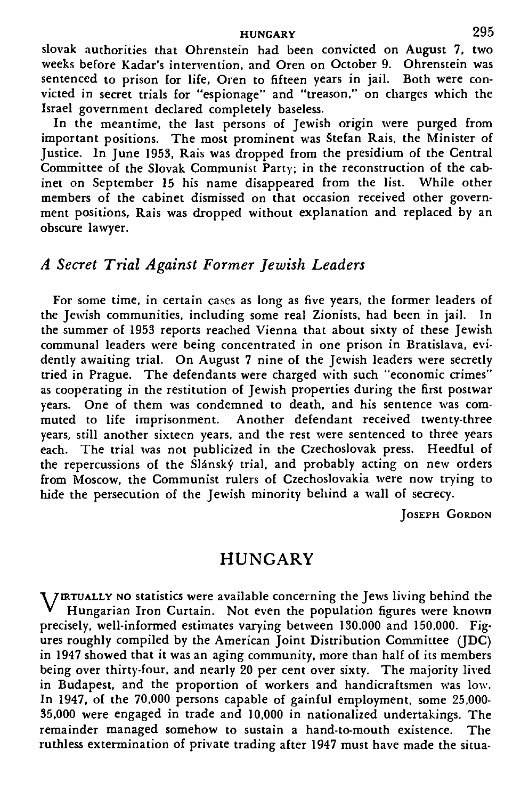### HUNGARY 295

Slovak authorities that Ohrenstein had been convicted on August 7. two weeks before Kadar's intervention, and Oren on October 9. Ohrenstein was sentenced to prison for life, Oren to fifteen years in jail. Both were convicted in secret trials for "espionage" and "treason," on charges which the Israel government declared completely baseless.

In the meantime, the last persons of Jewish origin were purged from important positions. The most prominent was Stefan Rais, the Minister of Justice. In June 1953, Rais was dropped from the presidium of the Central Committee of the Slovak Communist Party; in the reconstruction of the cabinet on September 15 his name disappeared from the list. While other members of the cabinet dismissed on that occasion received other government positions, Rais was dropped without explanation and replaced by an obscure lawyer.

### *A Secret Trial Against Former Jewish Leaders*

For some time, in certain cases as long as five years, the former leaders of the Jewish communities, including some real Zionists, had been in jail. In the summer of 1953 reports reached Vienna that about sixty of these Jewish communal leaders were being concentrated in one prison in Bratislava, evidently awaiting trial. On August 7 nine of the Jewish leaders were secretly tried in Prague. The defendants were charged with such "economic crimes" as cooperating in the restitution of Jewish properties during the first postwar years. One of them was condemned to death, and his sentence was commuted to life imprisonment. Another defendant received twenty-three years, still another sixteen years, and the rest were sentenced to three years each. The trial was not publicized in the Czechoslovak press. Heedful of the repercussions of the Slánský trial, and probably acting on new orders from Moscow, the Communist rulers of Czechoslovakia were now trying to hide the persecution of the Jewish minority behind a wall of secrecy.

JOSEPH GORDON

### HUNGARY

**V** JIRTUALLY NO statistics were available concerning the Jews living behind the Hungarian Iron Curtain. Not even the population figures were known precisely, well-informed estimates varying between 130,000 and 150,000. Figures roughly compiled by the American Joint Distribution Committee ( $|D\tilde{C}\rangle$ in 1947 showed that it was an aging community, more than half of its members being over thirty-four, and nearly 20 per cent over sixty. The majority lived in Budapest, and the proportion of workers and handicraftsmen was low. In 1947, of the 70,000 persons capable of gainful employment, some 25,000- 35,000 were engaged in trade and 10,000 in nationalized undertakings. The remainder managed somehow to sustain a hand-to-mouth existence. The ruthless extermination of private trading after 1947 must have made the situa-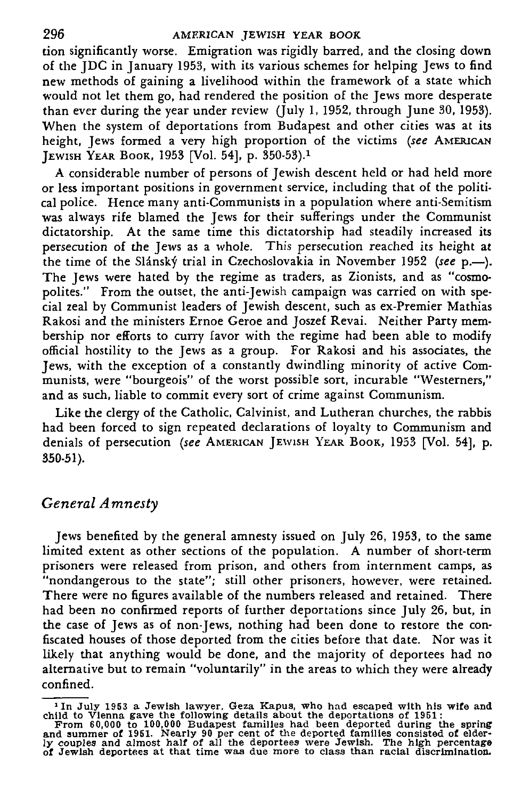#### 296 AMERICAN JEWISH YEAR BOOK

tion significantly worse. Emigration was rigidly barred, and the closing down of the JDC in January 1953, with its various schemes for helping Jews to find new methods of gaining a livelihood within the framework of a state which would not let them go, had rendered the position of the Jews more desperate than ever during the year under review (July 1, 1952, through June 30, 1953). When the system of deportations from Budapest and other cities was at its height, Jews formed a very high proportion of the victims *(see* AMERICAN JEWISH YEAR BOOK, 1953 [Vol. 54], p. 350-53).<sup>1</sup>

A considerable number of persons of Jewish descent held or had held more or less important positions in government service, including that of the political police. Hence many anti-Communists in a population where anti-Semitism was always rife blamed the Jews for their sufferings under the Communist dictatorship. At the same time this dictatorship had steadily increased its persecution of the Jews as a whole. This persecution reached its height at the time of the Slansky trial in Czechoslovakia in November 1952 *(see* p.—). The Jews were hated by the regime as traders, as Zionists, and as "cosmopolites." From the outset, the anti-Jewish campaign was carried on with special zeal by Communist leaders of Jewish descent, such as ex-Premier Mathias Rakosi and the ministers Ernoe Geroe and Joszef Revai. Neither Party membership nor efforts to curry favor with the regime had been able to modify official hostility to the Jews as a group. For Rakosi and his associates, the Jews, with the exception of a constantly dwindling minority of active Communists, were "bourgeois" of the worst possible sort, incurable "Westerners," and as such, liable to commit every sort of crime against Communism.

Like the clergy of the Catholic, Calvinist, and Lutheran churches, the rabbis had been forced to sign repeated declarations of loyalty to Communism and denials of persecution *(see* AMERICAN JEWISH YEAR BOOK, 1953 [Vol. 54], p. 350-51).

# *General Amnesty*

Jews benefited by the general amnesty issued on July 26, 1953, to the same limited extent as other sections of the population. A number of short-term prisoners were released from prison, and others from internment camps, as "nondangerous to the state"; still other prisoners, however, were retained. There were no figures available of the numbers released and retained. There had been no confirmed reports of further deportations since July 26, but, in the case of Jews as of non-Jews, nothing had been done to restore the confiscated houses of those deported from the cities before that date. Nor was it likely that anything would be done, and the majority of deportees had no alternative but to remain "voluntarily" in the areas to which they were already confined.

<sup>&</sup>lt;sup>1</sup>In July 1953 a Jewish lawyer, Geza Kapus, who had escaped with his wife and child to Vlenna gave the following details about the deportations of 1951:<br>From 60,000 to 100,000 Budapest familles had been deported during t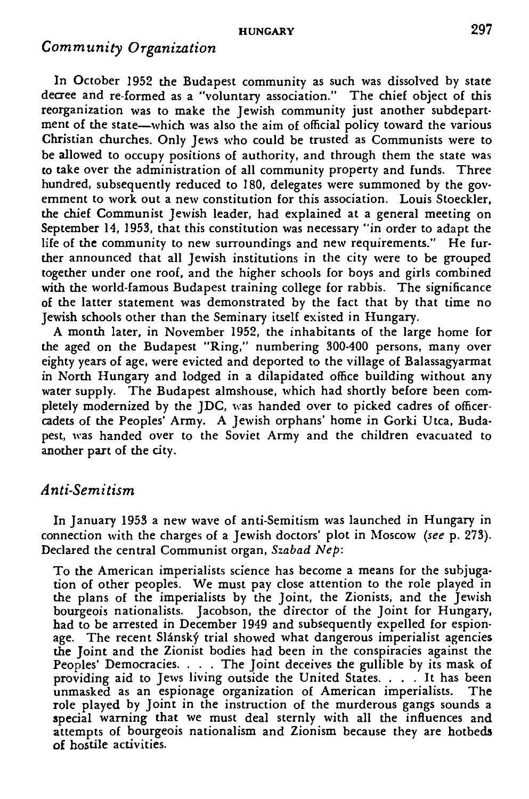#### HUNGARY 297

### *Community Organization*

In October 1952 the Budapest community as such was dissolved by state decree and re-formed as a "voluntary association." The chief object of this reorganization was to make the Jewish community just another subdepartment of the state—which was also the aim of official policy toward the various Christian churches. Only Jews who could be trusted as Communists were to be allowed to occupy positions of authority, and through them the state was to take over the administration of all community property and funds. Three hundred, subsequently reduced to 180, delegates were summoned by the government to work out a new constitution for this association. Louis Stoeckler, the chief Communist Jewish leader, had explained at a general meeting on September 14, 1953, that this constitution was necessary "in order to adapt the life of the community to new surroundings and new requirements." He further announced that all Jewish institutions in the city were to be grouped together under one roof, and the higher schools for boys and girls combined with the world-famous Budapest training college for rabbis. The significance of the latter statement was demonstrated by the fact that by that time no Jewish schools other than the Seminary itself existed in Hungary.

A month later, in November 1952, the inhabitants of the large home for the aged on the Budapest "Ring," numbering 300-400 persons, many over eighty years of age, were evicted and deported to the village of Balassagyarmat in North Hungary and lodged in a dilapidated office building without any water supply. The Budapest almshouse, which had shortly before been completely modernized by the JDC, was handed over to picked cadres of officercadets of the Peoples' Army. A Jewish orphans' home in Gorki Utca, Budapest, was handed over to the Soviet Army and the children evacuated to another part of the city.

### *Anti-Semitism*

In January 1953 a new wave of anti-Semitism was launched in Hungary in connection with the charges of a Jewish doctors' plot in Moscow *(see* p. 273). Declared the central Communist organ, *Szabad Nep:*

To the American imperialists science has become a means for the subjugation of other peoples. We must pay close attention to the role played in the plans of the imperialists by the Joint, the Zionists, and the Jewish bourgeois nationalists. Jacobson, the director of the Joint for Hungary, had to be arrested in December 1949 and subsequently expelled for espionage. The recent Slánský trial showed what dangerous imperialist agencies the Joint and the Zionist bodies had been in the conspiracies against the Peoples' Democracies. . . . The Joint deceives the gullible by its mask of providing aid to Jews living outside the United States. . . . It has been unmasked as an espionage organization of American imperialists. The role played by Joint in the instruction of the murderous gangs sounds a special warning that we must deal sternly with all the influences and attempts of bourgeois nationalism and Zionism because they are hotbeds of hostile activities.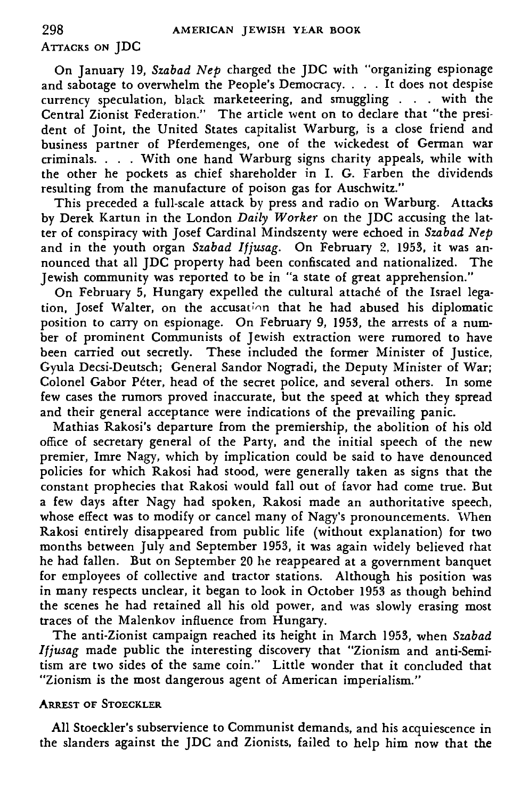# ATTACKS ON JDC

On January 19, *Szabad Nep* charged the JDC with "organizing espionage and sabotage to overwhelm the People's Democracy. . . . It does not despise currency speculation, black marketeering, and smuggling . . . with the Central Zionist Federation." The article went on to declare that "the president of Joint, the United States capitalist Warburg, is a close friend and business partner of Pferdemenges, one of the wickedest of German war criminals. . . . With one hand Warburg signs charity appeals, while with the other he pockets as chief shareholder in I. G. Farben the dividends resulting from the manufacture of poison gas for Auschwitz."

This preceded a full-scale attack by press and radio on Warburg. Attacks by Derek Kartun in the London *Daily Worker* on the JDC accusing the latter of conspiracy with Josef Cardinal Mindszenty were echoed in *Szabad Nep* and in the youth organ *Szabad Ifjusag.* On February 2, 1953, it was announced that all JDC property had been confiscated and nationalized. The Jewish community was reported to be in "a state of great apprehension."

On February 5, Hungary expelled the cultural attaché of the Israel legation, Josef Walter, on the accusation that he had abused his diplomatic position to carry on espionage. On February 9, 1953, the arrests of a number of prominent Communists of Jewish extraction were rumored to have been carried out secretly. These included the former Minister of Justice, Gyula Decsi-Deutsch; General Sandor Nogradi, the Deputy Minister of War; Colonel Gabor Péter, head of the secret police, and several others. In some few cases the rumors proved inaccurate, but the speed at which they spread and their general acceptance were indications of the prevailing panic.

Mathias Rakosi's departure from the premiership, the abolition of his old office of secretary general of the Party, and the initial speech of the new premier, Imre Nagy, which by implication could be said to have denounced policies for which Rakosi had stood, were generally taken as signs that the constant prophecies that Rakosi would fall out of favor had come true. But a few days after Nagy had spoken, Rakosi made an authoritative speech, whose effect was to modify or cancel many of Nagy's pronouncements. When Rakosi entirely disappeared from public life (without explanation) for two months between July and September 1953, it was again widely believed fhat he had fallen. But on September 20 he reappeared at a government banquet for employees of collective and tractor stations. Although his position was in many respects unclear, it began to look in October 1953 as though behind the scenes he had retained all his old power, and was slowly erasing most traces of the Malenkov influence from Hungary.

The anti-Zionist campaign reached its height in March 1953, when *Szabad Ifjusag* made public the interesting discovery that "Zionism and anti-Semitism are two sides of the same coin." Little wonder that it concluded that "Zionism is the most dangerous agent of American imperialism."

#### ARREST OF STOECKLER

All Stoeckler's subservience to Communist demands, and his acquiescence in the slanders against the JDC and Zionists, failed to help him now that the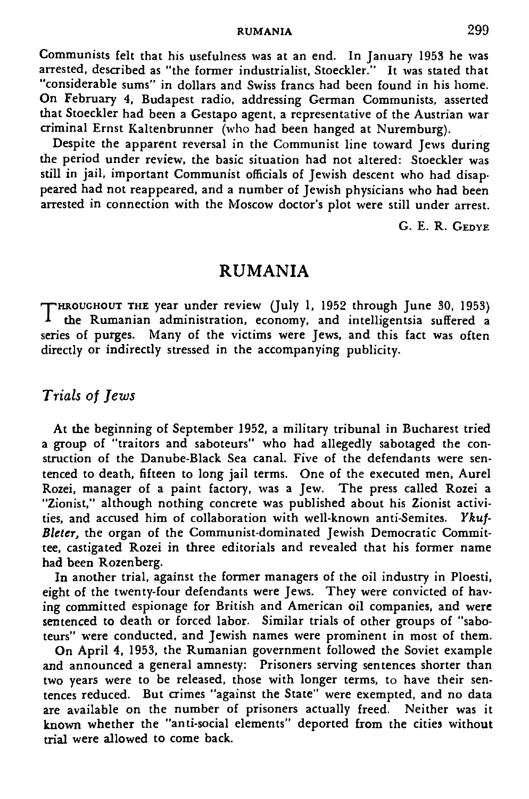RUMANIA 299

Communists felt that his usefulness was at an end. In January 1953 he was arrested, described as "the former industrialist, Stoeckler." It was stated that "considerable sums" in dollars and Swiss francs had been found in his home. On February 4, Budapest radio, addressing German Communists, asserted that Stoeckler had been a Gestapo agent, a representative of the Austrian war criminal Ernst Kaltenbrunner (who had been hanged at Nuremburg).

Despite the apparent reversal in the Communist line toward Jews during the period under review, the basic situation had not altered: Stoeckler was still in jail, important Communist officials of Jewish descent who had disappeared had not reappeared, and a number of Jewish physicians who had been arrested in connection with the Moscow doctor's plot were still under arrest.

G. E. R. GEDYE

## RUMANIA

THROUGHOUT THE year under review (July 1, 1952 through June 30, 1953) I the Rumanian administration, economy, and intelligentsia suffered a series of purges. Many of the victims were Iews, and this fact was often Many of the victims were Jews, and this fact was often directly or indirectly stressed in the accompanying publicity.

### *Trials of Jews*

At the beginning of September 1952, a military tribunal in Bucharest tried a group of "traitors and saboteurs" who had allegedly sabotaged the construction of the Danube-Black Sea canal. Five of the defendants were sentenced to death, fifteen to long jail terms. One of the executed men, Aurel Rozei, manager of a paint factory, was a Jew. The press called Rozei a "Zionist," although nothing concrete was published about his Zionist activities, and accused him of collaboration with well-known anti-Semites. *Ykuf-Bleter,* the organ of the Communist-dominated Jewish Democratic Committee, castigated Rozei in three editorials and revealed that his former name had been Rozenberg.

In another trial, against the former managers of the oil industry in Ploesti, eight of the twenty-four defendants were Jews. They were convicted of having committed espionage for British and American oil companies, and were sentenced to death or forced labor. Similar trials of other groups of "saboteurs" were conducted, and Jewish names were prominent in most of them.

On April 4, 1953, the Rumanian government followed the Soviet example and announced a general amnesty: Prisoners serving sentences shorter than two years were to be released, those with longer terms, to have their sentences reduced. But crimes "against the State" were exempted, and no data are available on the number of prisoners actually freed. Neither was it known whether the "anti-social elements" deported from the cities without trial were allowed to come back.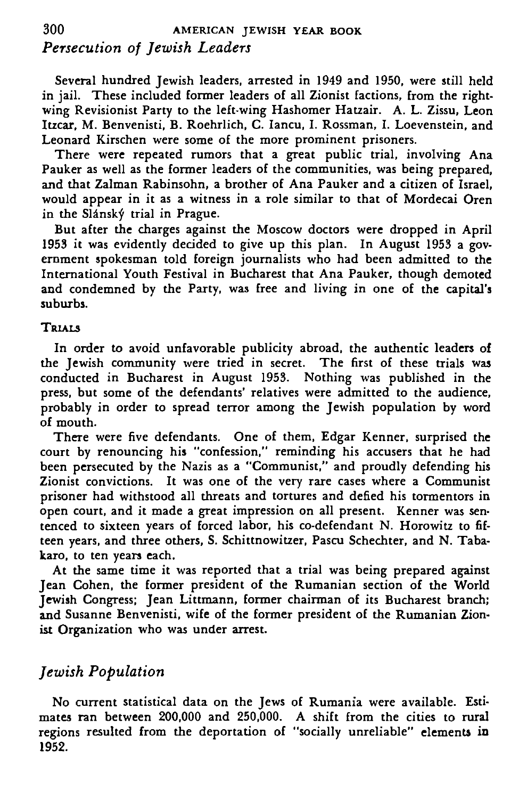# **300 AMERICAN JEWISH YEAR BOOK** *Persecution of Jewish Leaders*

Several hundred Jewish leaders, arrested in 1949 and 1950, were still held in jail. These included former leaders of all Zionist factions, from the rightwing Revisionist Party to the left-wing Hashomer Hatzair. A. L. Zissu, Leon Itzcar, M. Benvenisti, B. Roehrlich, C. Iancu, I. Rossman, I. Loevenstein, and Leonard Kirschen were some of the more prominent prisoners.

There were repeated rumors that a great public trial, involving Ana Pauker as well as the former leaders of the communities, was being prepared, and that Zalman Rabinsohn, a brother of Ana Pauker and a citizen of Israel, would appear in it as a witness in a role similar to that of Mordecai Oren in the Slanský trial in Prague.

But after the charges against the Moscow doctors were dropped in April 1953 it was evidently decided to give up this plan. In August 1953 a government spokesman told foreign journalists who had been admitted to the International Youth Festival in Bucharest that Ana Pauker, though demoted and condemned by the Party, was free and living in one of the capital's suburbs.

#### TRIALS

In order to avoid unfavorable publicity abroad, the authentic leaders of the Jewish community were tried in secret. The first of these trials was conducted in Bucharest in August 1953. Nothing was published in the press, but some of the defendants' relatives were admitted to the audience, probably in order to spread terror among the Jewish population by word of mouth.

There were five defendants. One of them, Edgar Kenner, surprised the court by renouncing his "confession," reminding his accusers that he had been persecuted by the Nazis as a "Communist," and proudly defending his Zionist convictions. It was one of the very rare cases where a Communist prisoner had withstood all threats and tortures and defied his tormentors in open court, and it made a great impression on all present. Kenner was sentenced to sixteen years of forced labor, his co-defendant N. Horowitz to fifteen years, and three others, S. Schittnowitzer, Pascu Schechter, and N. Tabakaro, to ten years each.

At the same time it was reported that a trial was being prepared against Jean Cohen, the former president of the Rumanian section of the World Jewish Congress; Jean Littmann, former chairman of its Bucharest branch; and Susanne Benvenisti, wife of the former president of the Rumanian Zionist Organization who was under arrest.

# *Jewish Population*

No current statistical data on the Jews of Rumania were available. Estimates ran between 200,000 and 250,000. A shift from the cities to rural regions resulted from the deportation of "socially unreliable" elements in 1952.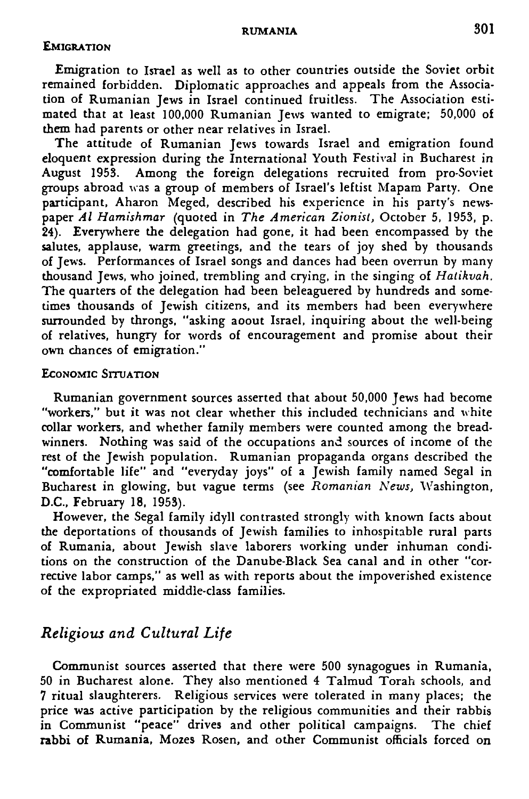#### RUMANIA 301

#### **EMIGRATION**

Emigration to Israel as well as to other countries outside the Soviet orbit remained forbidden. Diplomatic approaches and appeals from the Association of Rumanian Jews in Israel continued fruitless. The Association estimated that at least 100,000 Rumanian Jews wanted to emigrate; 50,000 of them had parents or other near relatives in Israel.

The attitude of Rumanian Jews towards Israel and emigration found eloquent expression during the International Youth Festival in Bucharest in August 1953. Among the foreign delegations recruited from pro-Soviet groups abroad was a group of members of Israel's leftist Mapam Party. One participant, Aharon Meged, described his experience in his party's newspaper *Al Hamishmar* (quoted in *The American Zionist,* October 5, 1953, p.  $24$ ). Everywhere the delegation had gone, it had been encompassed by the salutes, applause, warm greetings, and the tears of joy shed by thousands of Jews. Performances of Israel songs and dances had been overrun by many thousand Jews, who joined, trembling and crying, in the singing of *Hatikvah.* The quarters of the delegation had been beleaguered by hundreds and sometimes thousands of Jewish citizens, and its members had been everywhere surrounded by throngs, "asking aoout Israel, inquiring about the well-being of relatives, hungry for words of encouragement and promise about their own chances of emigration."

#### ECONOMIC SITUATION

Rumanian government sources asserted that about 50,000 Jews had become "workers," but it was not clear whether this included technicians and white collar workers, and whether family members were counted among the breadwinners. Nothing was said of the occupations and sources of income of the rest of the Jewish population. Rumanian propaganda organs described the "comfortable life" and "everyday joys" of a Jewish family named Segal in Bucharest in glowing, but vague terms (see *Romanian News,* Washington, D.C., February 18, 1953).

However, the Segal family idyll contrasted strongly with known facts about the deportations of thousands of Jewish families to inhospitable rural parts of Rumania, about Jewish slave laborers working under inhuman conditions on the construction of the Danube-Black Sea canal and in other "corrective labor camps," as well as with reports about the impoverished existence of the expropriated middle-class families.

# *Religious and Cultural Life*

Communist sources asserted that there were 500 synagogues in Rumania, 50 in Bucharest alone. They also mentioned 4 Talmud Torah schools, and 7 ritual slaughterers. Religious services were tolerated in many places; the price was active participation by the religious communities and their rabbis in Communist "peace" drives and other political campaigns. The chief **rabbi** of **Rumania,** Mozes Rosen, and other Communist officials forced on